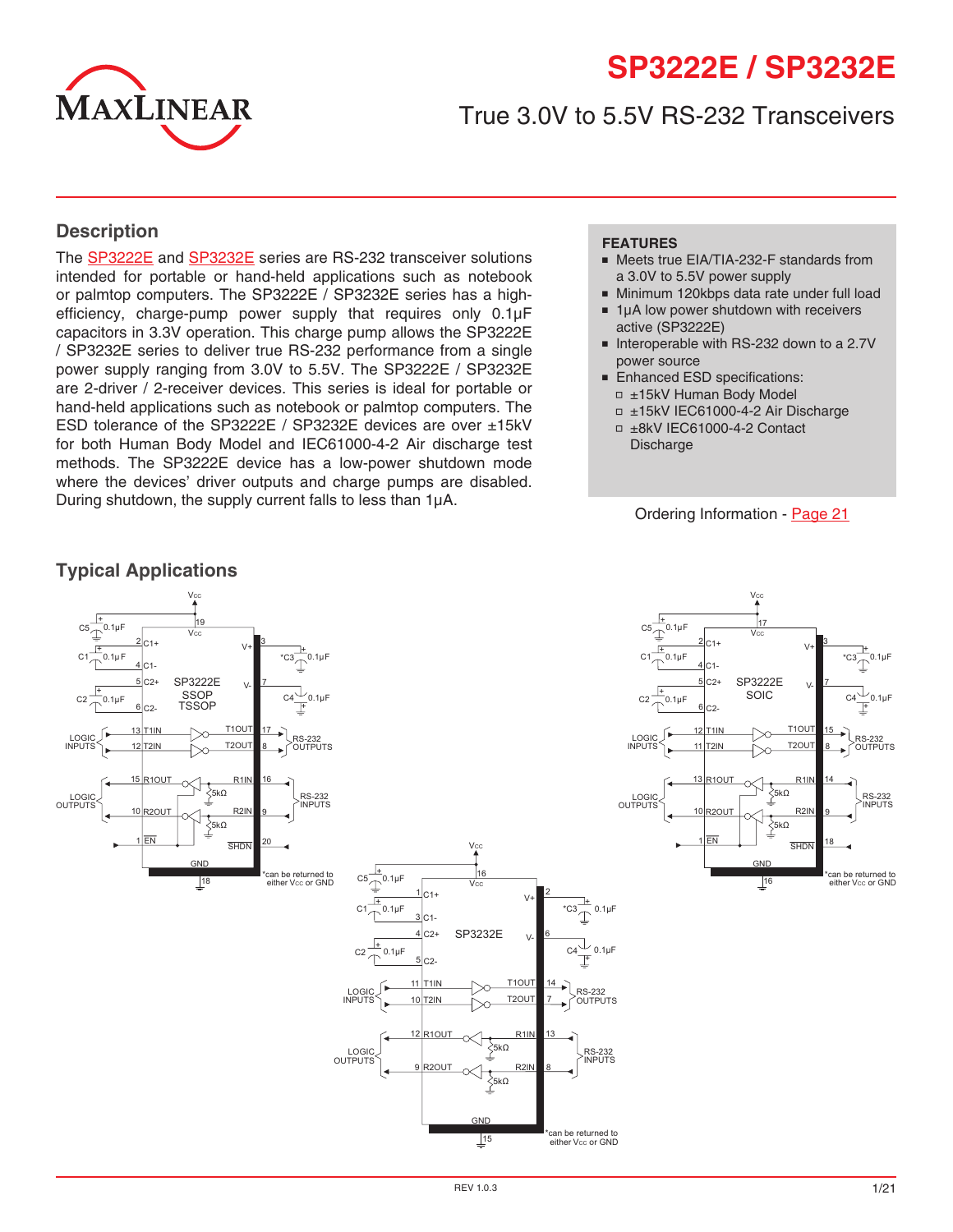

# **SP3222E / SP3232E**

# True 3.0V to 5.5V RS-232 Transceivers

### **Description**

The [SP3222E](http://www.exar.com/SP3222E) and [SP3232E](http://www.exar.com/SP3232E) series are RS-232 transceiver solutions intended for portable or hand-held applications such as notebook or palmtop computers. The SP3222E / SP3232E series has a highefficiency, charge-pump power supply that requires only 0.1µF capacitors in 3.3V operation. This charge pump allows the SP3222E / SP3232E series to deliver true RS-232 performance from a single power supply ranging from 3.0V to 5.5V. The SP3222E / SP3232E are 2-driver / 2-receiver devices. This series is ideal for portable or hand-held applications such as notebook or palmtop computers. The ESD tolerance of the SP3222E / SP3232E devices are over ±15kV for both Human Body Model and IEC61000-4-2 Air discharge test methods. The SP3222E device has a low-power shutdown mode where the devices' driver outputs and charge pumps are disabled. During shutdown, the supply current falls to less than 1µA.

#### **FEATURES**

- Meets true EIA/TIA-232-F standards from a 3.0V to 5.5V power supply
- Minimum 120kbps data rate under full load
- 1µA low power shutdown with receivers active (SP3222E)
- Interoperable with RS-232 down to a 2.7V power source
- Enhanced ESD specifications: □ ±15kV Human Body Model

REV 1.0.3 1/21

- ■ ±15kV IEC61000-4-2 Air Discharge
- ■ ±8kV IEC61000-4-2 Contact **Discharge**

#### Ordering Information - [Page](#page-19-0) 21



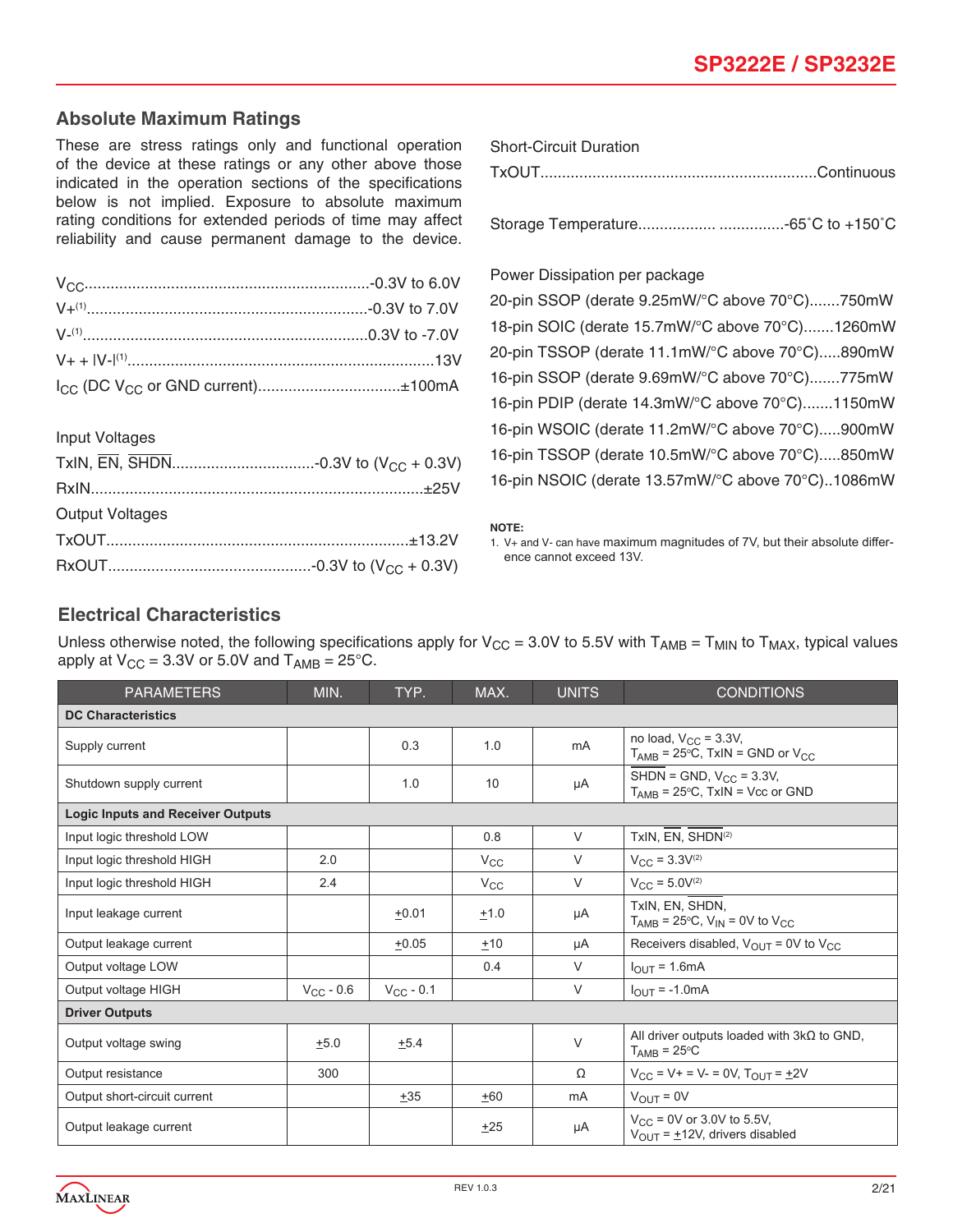# **Absolute Maximum Ratings**

These are stress ratings only and functional operation of the device at these ratings or any other above those indicated in the operation sections of the specifications below is not implied. Exposure to absolute maximum rating conditions for extended periods of time may affect reliability and cause permanent damage to the device.

| SHORE-CIRCUIL DURATION |  |
|------------------------|--|
| TxOUT.                 |  |

Storage Temperature.................. ...............-65˚C to +150˚C

20-pin SSOP (derate 9.25mW/°C above 70°C).......750mW

| $I_{CC}$ (DC V <sub>CC</sub> or GND current)±100mA |  |
|----------------------------------------------------|--|

Power Dissipation per package

Short-Circuit Duration

18-pin SOIC (derate 15.7mW/°C above 70°C).......1260mW 20-pin TSSOP (derate 11.1mW/°C above 70°C).....890mW 16-pin SSOP (derate 9.69mW/°C above 70°C).......775mW 16-pin PDIP (derate 14.3mW/°C above 70°C).......1150mW 16-pin WSOIC (derate 11.2mW/°C above 70°C).....900mW 16-pin TSSOP (derate 10.5mW/°C above 70°C).....850mW 16-pin NSOIC (derate 13.57mW/°C above 70°C)..1086mW

#### **NOTE:**

1. V+ and V- can have maximum magnitudes of 7V, but their absolute difference cannot exceed 13V.

# Input Voltages

| <b>Output Voltages</b> |  |
|------------------------|--|
|                        |  |
|                        |  |

# **Electrical Characteristics**

Unless otherwise noted, the following specifications apply for  $V_{CC} = 3.0V$  to 5.5V with  $T_{AMB} = T_{MIN}$  to  $T_{MAX}$ , typical values apply at  $V_{CC}$  = 3.3V or 5.0V and  $T_{AMB}$  = 25°C.

| <b>PARAMETERS</b>                        | MIN.           | TYP.           | MAX.            | <b>UNITS</b> | <b>CONDITIONS</b>                                                                   |
|------------------------------------------|----------------|----------------|-----------------|--------------|-------------------------------------------------------------------------------------|
| <b>DC Characteristics</b>                |                |                |                 |              |                                                                                     |
| Supply current                           |                | 0.3            | 1.0             | mA           | no load, $V_{CC}$ = 3.3V,<br>$T_{AMB}$ = 25°C, TxIN = GND or $V_{CC}$               |
| Shutdown supply current                  |                | 1.0            | 10              | μA           | SHDN = GND, $V_{CC}$ = 3.3V,<br>$T_{AMB}$ = 25°C, TxIN = Vcc or GND                 |
| <b>Logic Inputs and Receiver Outputs</b> |                |                |                 |              |                                                                                     |
| Input logic threshold LOW                |                |                | 0.8             | $\vee$       | TxIN. EN. SHDN(2)                                                                   |
| Input logic threshold HIGH               | 2.0            |                | $V_{\text{CC}}$ | $\vee$       | $V_{CC}$ = 3.3 $V^{(2)}$                                                            |
| Input logic threshold HIGH               | 2.4            |                | $V_{\rm CC}$    | $\vee$       | $V_{CC} = 5.0V^{(2)}$                                                               |
| Input leakage current                    |                | $+0.01$        | ±1.0            | μA           | TxIN, EN, SHDN.<br>$T_{\text{AMB}}$ = 25°C, $V_{\text{IN}}$ = 0V to $V_{\text{CC}}$ |
| Output leakage current                   |                | $+0.05$        | $+10$           | μA           | Receivers disabled, $V_{\text{OUT}} = 0V$ to $V_{\text{CC}}$                        |
| Output voltage LOW                       |                |                | 0.4             | $\vee$       | $I_{OIII}$ = 1.6mA                                                                  |
| Output voltage HIGH                      | $V_{CC}$ - 0.6 | $V_{CC}$ - 0.1 |                 | V            | $I_{OUT} = -1.0mA$                                                                  |
| <b>Driver Outputs</b>                    |                |                |                 |              |                                                                                     |
| Output voltage swing                     | $+5.0$         | $+5.4$         |                 | $\vee$       | All driver outputs loaded with $3k\Omega$ to GND,<br>$T_{\text{AMB}}$ = 25°C        |
| Output resistance                        | 300            |                |                 | Ω            | $V_{CC}$ = V + = V - = 0V, $T_{OUT}$ = $\pm$ 2V                                     |
| Output short-circuit current             |                | $+35$          | $+60$           | mA           | $V_{OIIT} = 0V$                                                                     |
| Output leakage current                   |                |                | $+25$           | μA           | $V_{CC}$ = 0V or 3.0V to 5.5V,<br>$V_{OIII}$ = +12V, drivers disabled               |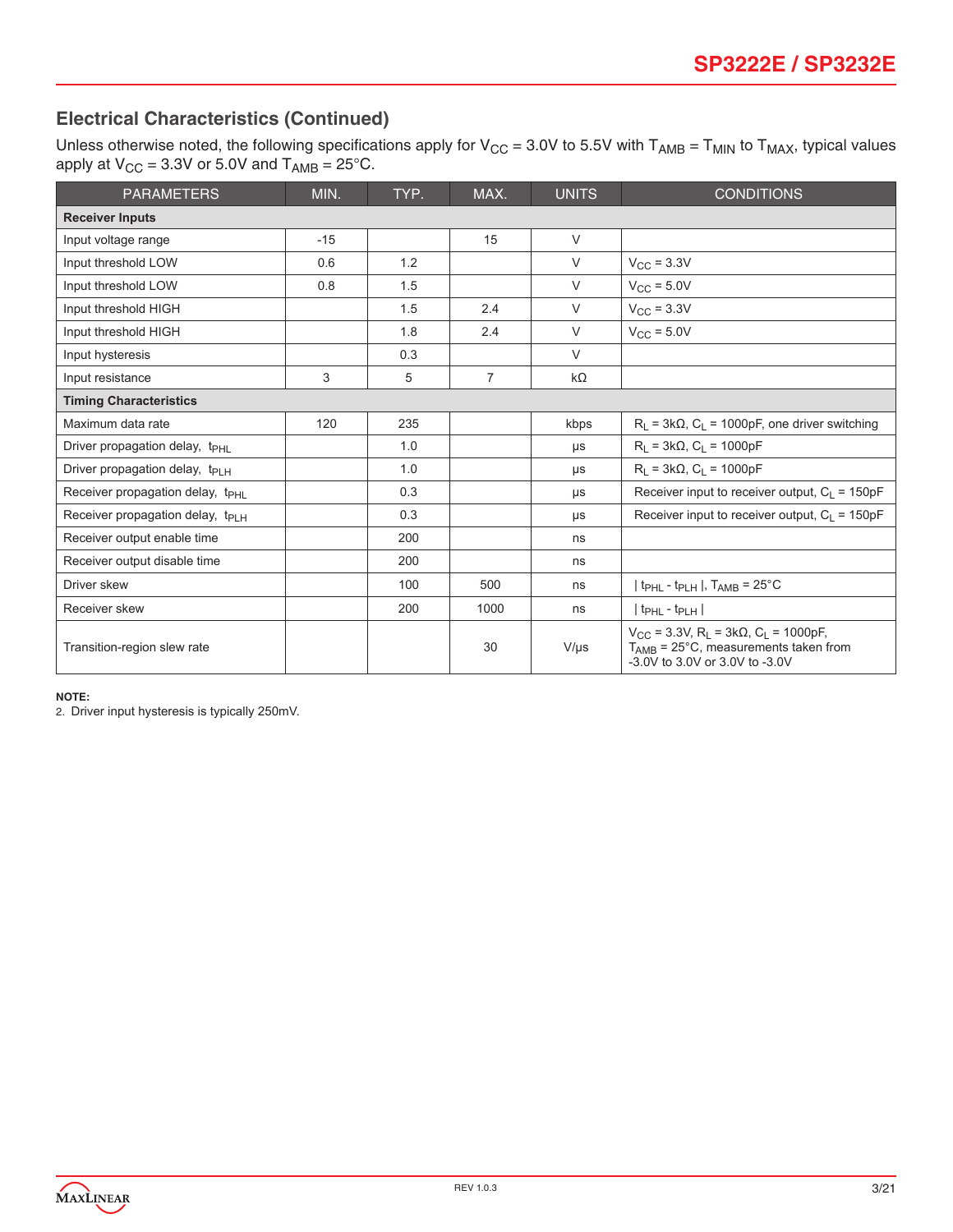# **Electrical Characteristics (Continued)**

Unless otherwise noted, the following specifications apply for  $V_{CC} = 3.0V$  to 5.5V with  $T_{AMB} = T_{MIN}$  to  $T_{MAX}$ , typical values apply at  $V_{CC}$  = 3.3V or 5.0V and  $T_{AMB}$  = 25°C.

| <b>PARAMETERS</b>                            | MIN.  | TYP. | MAX. | <b>UNITS</b> | <b>CONDITIONS</b>                                                                                                                                                  |
|----------------------------------------------|-------|------|------|--------------|--------------------------------------------------------------------------------------------------------------------------------------------------------------------|
| <b>Receiver Inputs</b>                       |       |      |      |              |                                                                                                                                                                    |
| Input voltage range                          | $-15$ |      | 15   | V            |                                                                                                                                                                    |
| Input threshold LOW                          | 0.6   | 1.2  |      | $\vee$       | $V_{\text{CC}}$ = 3.3V                                                                                                                                             |
| Input threshold LOW                          | 0.8   | 1.5  |      | V            | $V_{CC}$ = 5.0V                                                                                                                                                    |
| Input threshold HIGH                         |       | 1.5  | 2.4  | V            | $V_{\text{CC}}$ = 3.3V                                                                                                                                             |
| Input threshold HIGH                         |       | 1.8  | 2.4  | V            | $V_{CC}$ = 5.0V                                                                                                                                                    |
| Input hysteresis                             |       | 0.3  |      | $\vee$       |                                                                                                                                                                    |
| Input resistance                             | 3     | 5    | 7    | kΩ           |                                                                                                                                                                    |
| <b>Timing Characteristics</b>                |       |      |      |              |                                                                                                                                                                    |
| Maximum data rate                            | 120   | 235  |      | kbps         | $R_L$ = 3k $\Omega$ , $C_L$ = 1000pF, one driver switching                                                                                                         |
| Driver propagation delay, t <sub>PHI</sub>   |       | 1.0  |      | μs           | $R_1 = 3k\Omega$ , $C_1 = 1000pF$                                                                                                                                  |
| Driver propagation delay, t <sub>PLH</sub>   |       | 1.0  |      | μs           | $R_L = 3k\Omega$ , $C_L = 1000pF$                                                                                                                                  |
| Receiver propagation delay, t <sub>PHL</sub> |       | 0.3  |      | μs           | Receiver input to receiver output, $C_1 = 150pF$                                                                                                                   |
| Receiver propagation delay, $t_{PIH}$        |       | 0.3  |      | μs           | Receiver input to receiver output, $C_1 = 150pF$                                                                                                                   |
| Receiver output enable time                  |       | 200  |      | ns           |                                                                                                                                                                    |
| Receiver output disable time                 |       | 200  |      | ns           |                                                                                                                                                                    |
| Driver skew                                  |       | 100  | 500  | ns           | $ $ t <sub>PHL</sub> - t <sub>PLH</sub> $ $ , T <sub>AMB</sub> = 25°C                                                                                              |
| Receiver skew                                |       | 200  | 1000 | ns           | $ t_{\rm PHL}$ - $t_{\rm PLH} $                                                                                                                                    |
| Transition-region slew rate                  |       |      | 30   | $V/\mu s$    | $V_{CC}$ = 3.3V, R <sub>L</sub> = 3k $\Omega$ , C <sub>L</sub> = 1000pF,<br>$T_{AMB}$ = 25 $^{\circ}$ C, measurements taken from<br>-3.0V to 3.0V or 3.0V to -3.0V |

#### **NOTE:**

2. Driver input hysteresis is typically 250mV.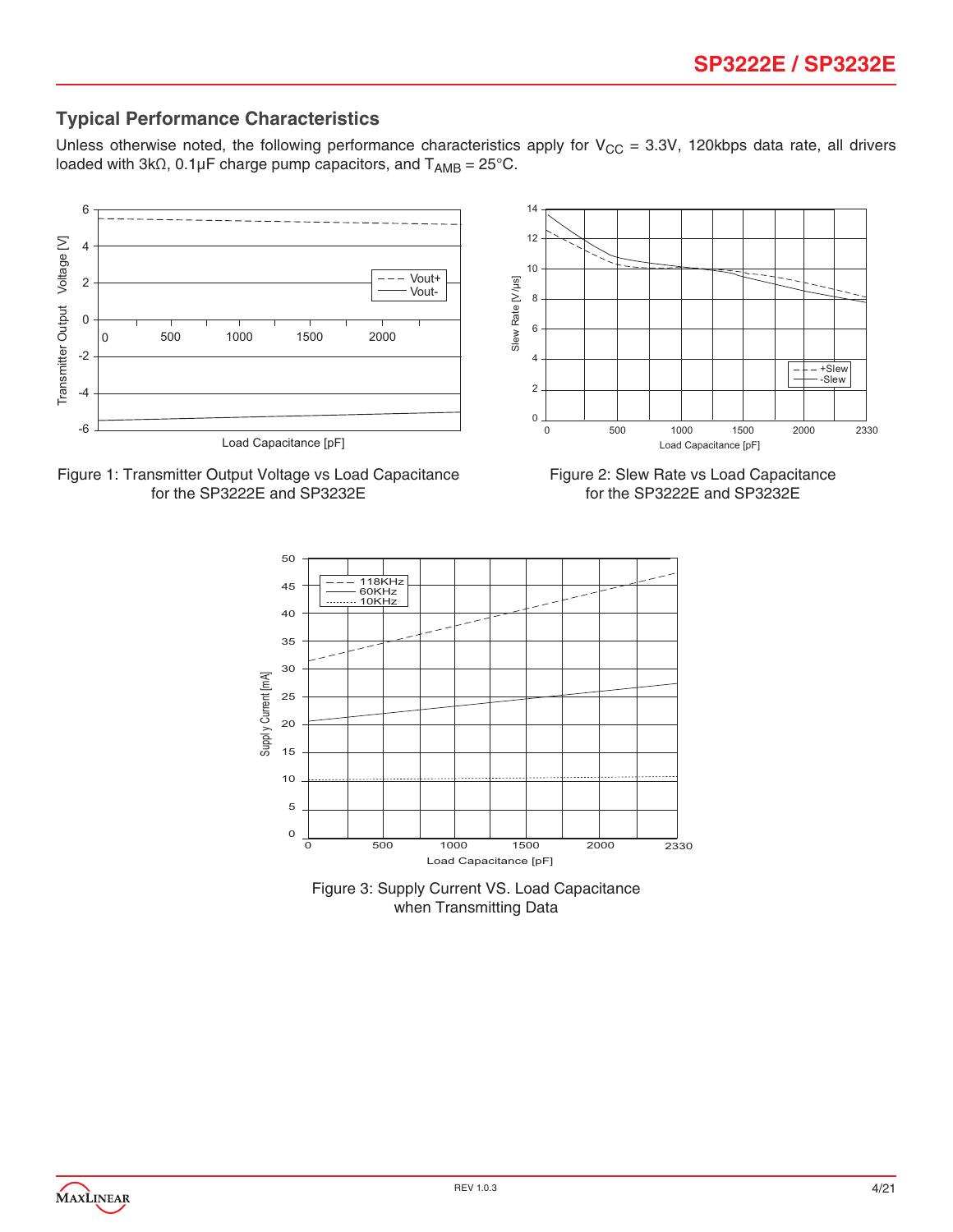# **Typical Performance Characteristics**

Unless otherwise noted, the following performance characteristics apply for  $V_{CC} = 3.3V$ , 120kbps data rate, all drivers loaded with 3kΩ, 0.1µF charge pump capacitors, and  $T_{AMB} = 25^{\circ}$ C.





Figure 2: Slew Rate vs Load Capacitance for the SP3222E and SP3232E



Figure 3: Supply Current VS. Load Capacitance when Transmitting Data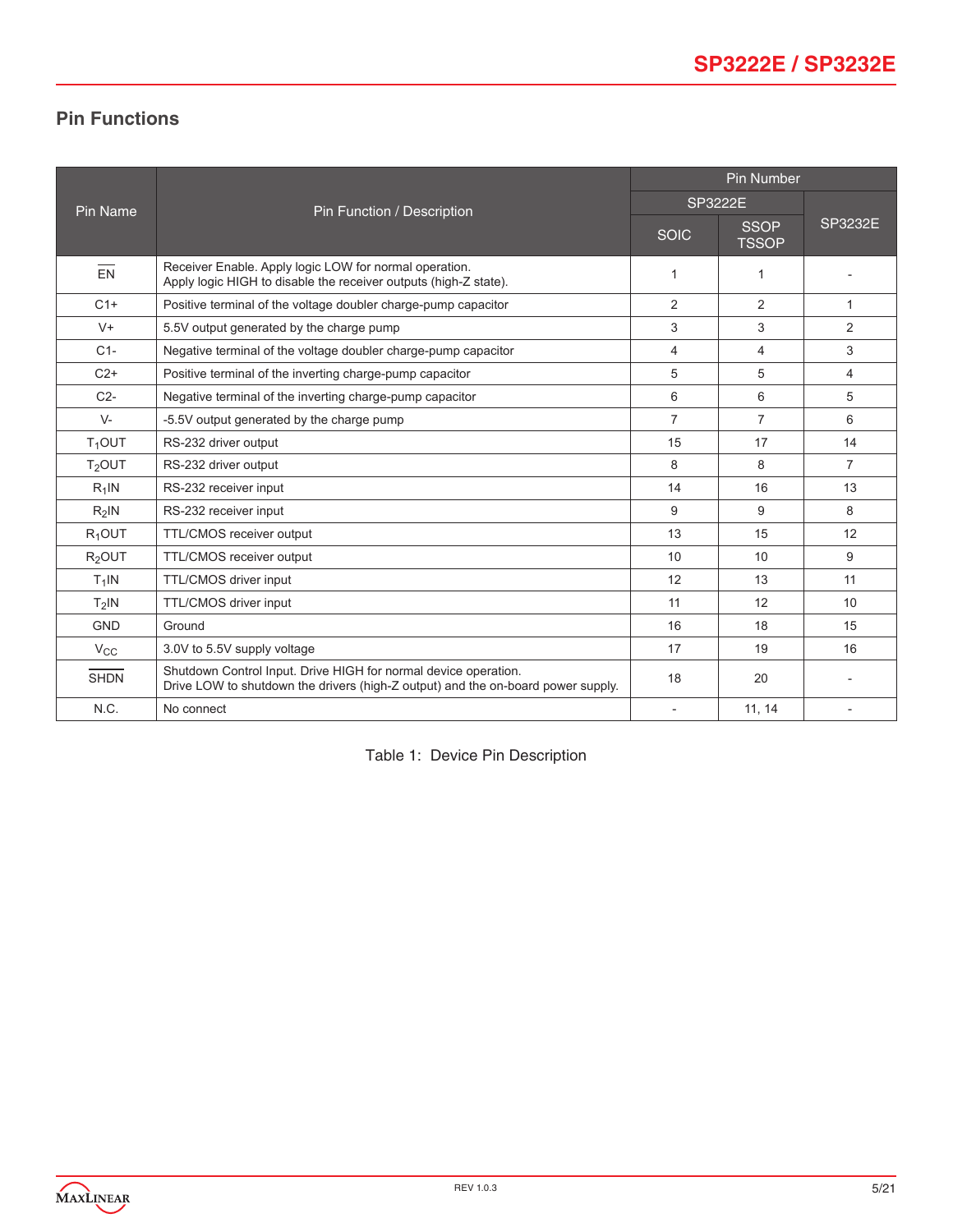# **Pin Functions**

|                 |                                                                                                                                                     | <b>Pin Number</b> |                             |                |  |
|-----------------|-----------------------------------------------------------------------------------------------------------------------------------------------------|-------------------|-----------------------------|----------------|--|
| <b>Pin Name</b> | Pin Function / Description                                                                                                                          | <b>SP3222E</b>    |                             |                |  |
|                 |                                                                                                                                                     | <b>SOIC</b>       | <b>SSOP</b><br><b>TSSOP</b> | SP3232E        |  |
| $\overline{EN}$ | Receiver Enable. Apply logic LOW for normal operation.<br>Apply logic HIGH to disable the receiver outputs (high-Z state).                          | 1                 | $\mathbf{1}$                |                |  |
| $C1+$           | Positive terminal of the voltage doubler charge-pump capacitor                                                                                      | 2                 | 2                           | $\mathbf{1}$   |  |
| $V +$           | 5.5V output generated by the charge pump                                                                                                            | 3                 | 3                           | $\overline{2}$ |  |
| $C1-$           | Negative terminal of the voltage doubler charge-pump capacitor                                                                                      | $\overline{4}$    | $\overline{4}$              | 3              |  |
| $C2+$           | Positive terminal of the inverting charge-pump capacitor                                                                                            | 5                 | 5                           | 4              |  |
| $C2-$           | Negative terminal of the inverting charge-pump capacitor                                                                                            | 6                 | 6                           | 5              |  |
| $V -$           | -5.5V output generated by the charge pump                                                                                                           | $\overline{7}$    | $\overline{7}$              | 6              |  |
| $T_1$ OUT       | RS-232 driver output                                                                                                                                | 15                | 17                          | 14             |  |
| $T2$ OUT        | RS-232 driver output                                                                                                                                | 8                 | 8                           | $\overline{7}$ |  |
| $R_1$ IN        | RS-232 receiver input                                                                                                                               | 14                | 16                          | 13             |  |
| $R2$ IN         | RS-232 receiver input                                                                                                                               | 9                 | 9                           | 8              |  |
| $R_1$ OUT       | TTL/CMOS receiver output                                                                                                                            | 13                | 15                          | 12             |  |
| $R2$ OUT        | <b>TTL/CMOS</b> receiver output                                                                                                                     | 10                | 10                          | 9              |  |
| $T_1$ IN        | TTL/CMOS driver input                                                                                                                               | 12                | 13                          | 11             |  |
| $T2$ IN         | TTL/CMOS driver input                                                                                                                               | 11                | 12                          | 10             |  |
| <b>GND</b>      | Ground                                                                                                                                              | 16                | 18                          | 15             |  |
| $V_{\rm CC}$    | 3.0V to 5.5V supply voltage                                                                                                                         | 17                | 19                          | 16             |  |
| <b>SHDN</b>     | Shutdown Control Input. Drive HIGH for normal device operation.<br>Drive LOW to shutdown the drivers (high-Z output) and the on-board power supply. | 18                | 20                          |                |  |
| N.C.            | No connect                                                                                                                                          | $\sim$            | 11, 14                      | $\overline{a}$ |  |

Table 1: Device Pin Description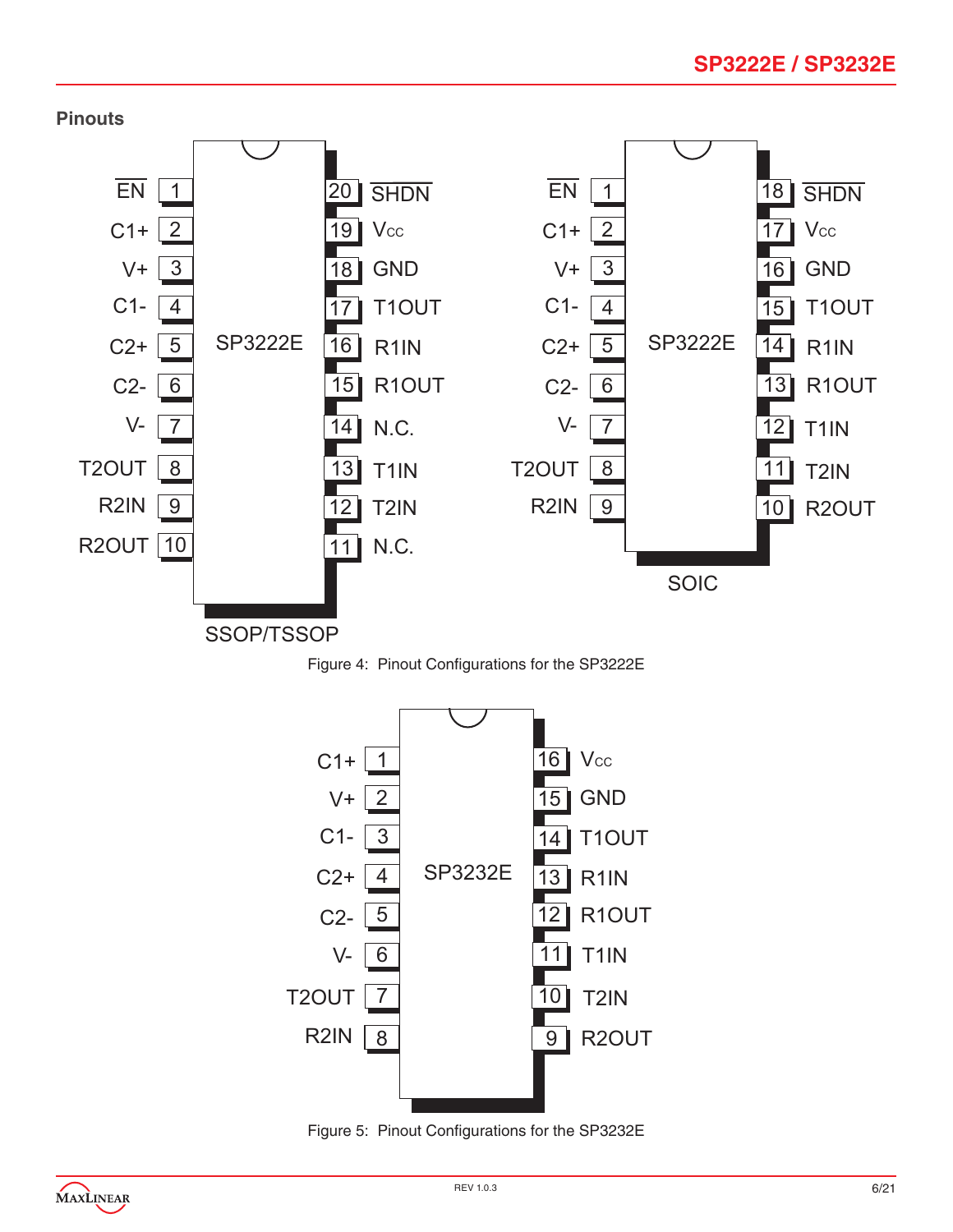





Figure 5: Pinout Configurations for the SP3232E

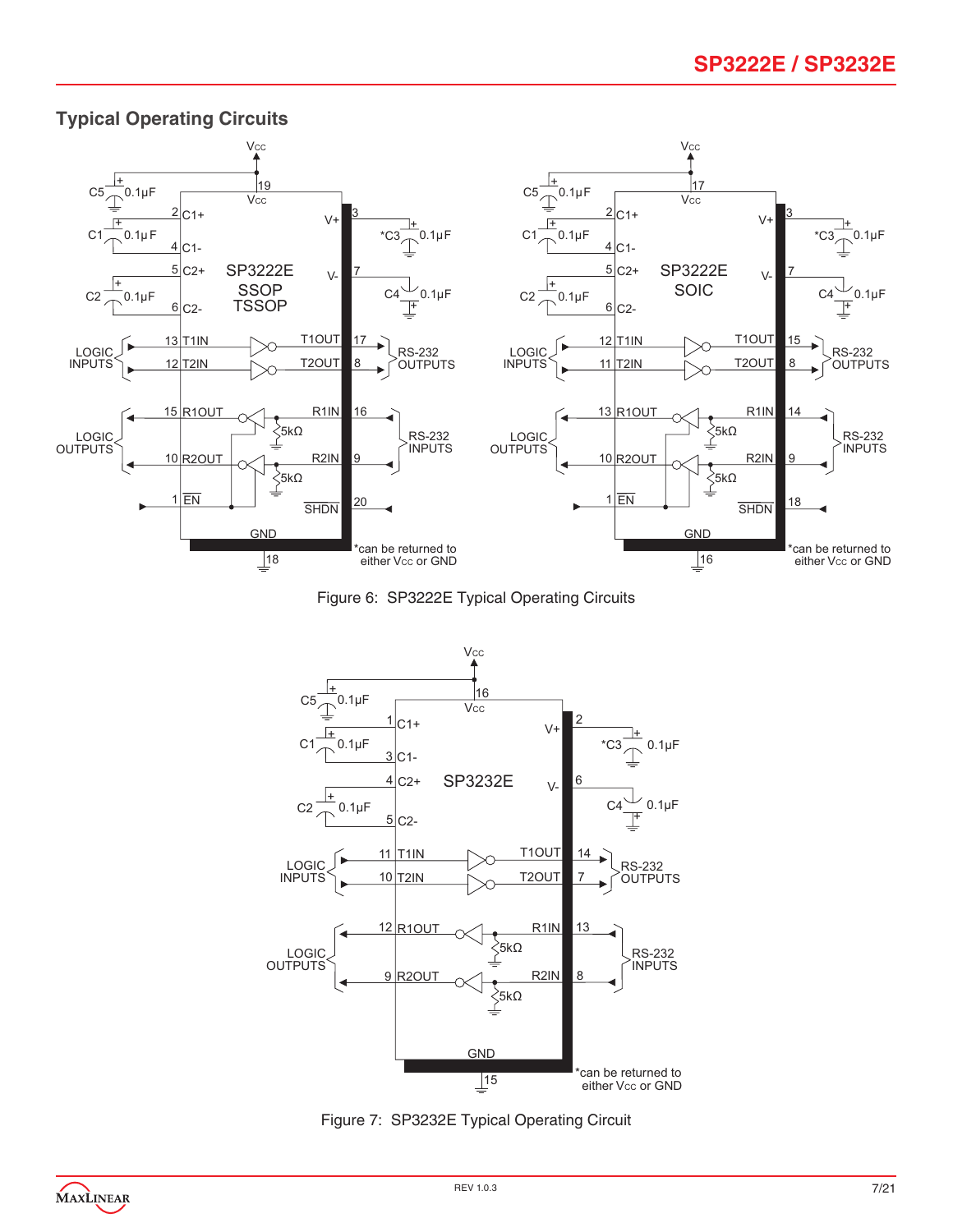# **SP3222E / SP3232E**



### **Typical Operating Circuits**

Figure 6: SP3222E Typical Operating Circuits



Figure 7: SP3232E Typical Operating Circuit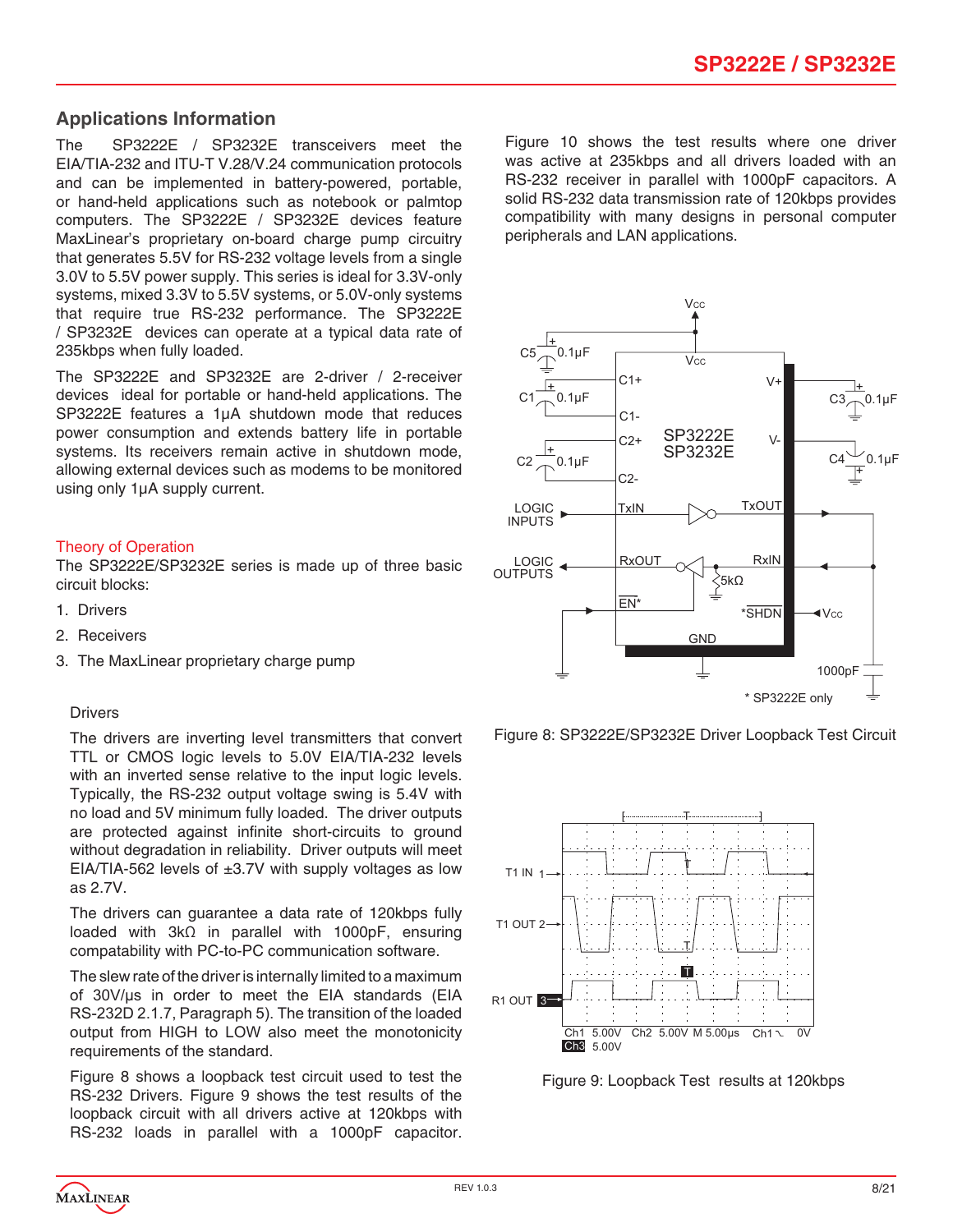# **Applications Information**

The SP3222E / SP3232E transceivers meet the EIA/TIA-232 and ITU-T V.28/V.24 communication protocols and can be implemented in battery-powered, portable, or hand-held applications such as notebook or palmtop computers. The SP3222E / SP3232E devices feature MaxLinear's proprietary on-board charge pump circuitry that generates 5.5V for RS-232 voltage levels from a single 3.0V to 5.5V power supply. This series is ideal for 3.3V-only systems, mixed 3.3V to 5.5V systems, or 5.0V-only systems that require true RS-232 performance. The SP3222E / SP3232E devices can operate at a typical data rate of 235kbps when fully loaded.

The SP3222E and SP3232E are 2-driver / 2-receiver devices ideal for portable or hand-held applications. The SP3222E features a 1µA shutdown mode that reduces power consumption and extends battery life in portable systems. Its receivers remain active in shutdown mode, allowing external devices such as modems to be monitored using only 1µA supply current.

#### Theory of Operation

The SP3222E/SP3232E series is made up of three basic circuit blocks:

- 1. Drivers
- 2. Receivers
- 3. The MaxLinear proprietary charge pump

#### **Drivers**

The drivers are inverting level transmitters that convert TTL or CMOS logic levels to 5.0V EIA/TIA-232 levels with an inverted sense relative to the input logic levels. Typically, the RS-232 output voltage swing is 5.4V with no load and 5V minimum fully loaded. The driver outputs are protected against infinite short-circuits to ground without degradation in reliability. Driver outputs will meet EIA/TIA-562 levels of  $\pm 3.7V$  with supply voltages as low as 2.7V.

The drivers can guarantee a data rate of 120kbps fully loaded with 3kΩ in parallel with 1000pF, ensuring compatability with PC-to-PC communication software.

The slew rate of the driver is internally limited to a maximum of 30V/µs in order to meet the EIA standards (EIA RS-232D 2.1.7, Paragraph 5). The transition of the loaded output from HIGH to LOW also meet the monotonicity requirements of the standard.

Figure 8 shows a loopback test circuit used to test the RS-232 Drivers. Figure 9 shows the test results of the loopback circuit with all drivers active at 120kbps with RS-232 loads in parallel with a 1000pF capacitor. Figure 10 shows the test results where one driver was active at 235kbps and all drivers loaded with an RS-232 receiver in parallel with 1000pF capacitors. A solid RS-232 data transmission rate of 120kbps provides compatibility with many designs in personal computer peripherals and LAN applications.



Figure 8: SP3222E/SP3232E Driver Loopback Test Circuit



Figure 9: Loopback Test results at 120kbps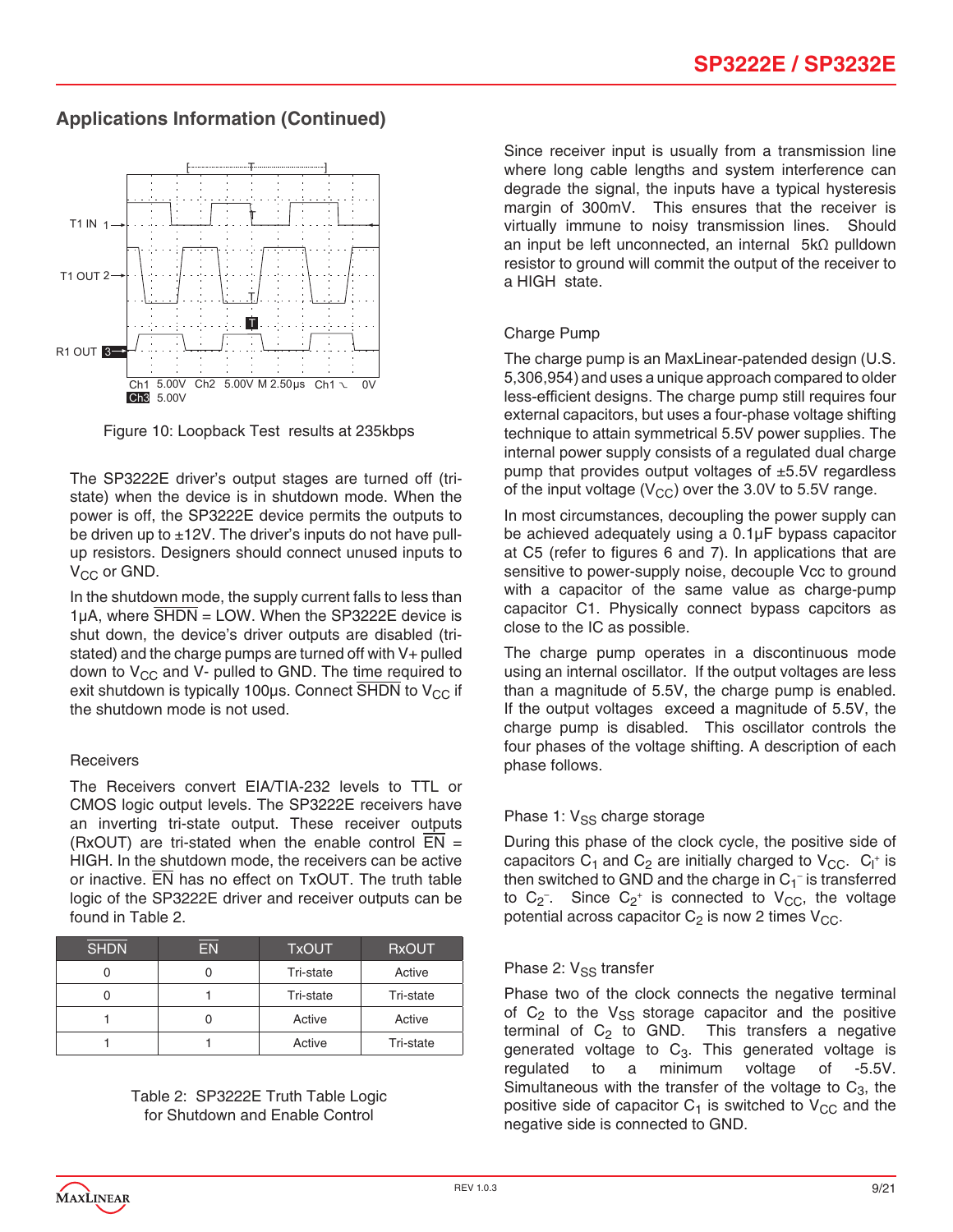# **Applications Information (Continued)**



Figure 10: Loopback Test results at 235kbps

The SP3222E driver's output stages are turned off (tristate) when the device is in shutdown mode. When the power is off, the SP3222E device permits the outputs to be driven up to  $\pm$ 12V. The driver's inputs do not have pullup resistors. Designers should connect unused inputs to  $V_{CC}$  or GND.

In the shutdown mode, the supply current falls to less than  $1\mu$ A, where  $\overline{\text{SHDN}}$  = LOW. When the SP3222E device is shut down, the device's driver outputs are disabled (tristated) and the charge pumps are turned off with V+ pulled down to  $V_{CC}$  and V- pulled to GND. The time required to exit shutdown is typically 100 $\mu$ s. Connect SHDN to V<sub>CC</sub> if the shutdown mode is not used.

### **Receivers**

The Receivers convert EIA/TIA-232 levels to TTL or CMOS logic output levels. The SP3222E receivers have an inverting tri-state output. These receiver outputs (RxOUT) are tri-stated when the enable control  $\overline{EN}$  = HIGH. In the shutdown mode, the receivers can be active or inactive. EN has no effect on TxOUT. The truth table logic of the SP3222E driver and receiver outputs can be found in Table 2.

| <b>SHDN</b> | FN | <b>TxOUT</b> | <b>RxOUT</b> |
|-------------|----|--------------|--------------|
|             |    | Tri-state    | Active       |
|             |    | Tri-state    | Tri-state    |
|             |    | Active       | Active       |
|             |    | Active       | Tri-state    |

Table 2: SP3222E Truth Table Logic for Shutdown and Enable Control

Since receiver input is usually from a transmission line where long cable lengths and system interference can degrade the signal, the inputs have a typical hysteresis margin of 300mV. This ensures that the receiver is virtually immune to noisy transmission lines. Should an input be left unconnected, an internal 5kΩ pulldown resistor to ground will commit the output of the receiver to a HIGH state.

### Charge Pump

The charge pump is an MaxLinear-patended design (U.S. 5,306,954) and uses a unique approach compared to older less-efficient designs. The charge pump still requires four external capacitors, but uses a four-phase voltage shifting technique to attain symmetrical 5.5V power supplies. The internal power supply consists of a regulated dual charge pump that provides output voltages of ±5.5V regardless of the input voltage ( $V_{CC}$ ) over the 3.0V to 5.5V range.

In most circumstances, decoupling the power supply can be achieved adequately using a 0.1µF bypass capacitor at C5 (refer to figures 6 and 7). In applications that are sensitive to power-supply noise, decouple Vcc to ground with a capacitor of the same value as charge-pump capacitor C1. Physically connect bypass capcitors as close to the IC as possible.

The charge pump operates in a discontinuous mode using an internal oscillator. If the output voltages are less than a magnitude of 5.5V, the charge pump is enabled. If the output voltages exceed a magnitude of 5.5V, the charge pump is disabled. This oscillator controls the four phases of the voltage shifting. A description of each phase follows.

### Phase 1:  $V_{SS}$  charge storage

During this phase of the clock cycle, the positive side of capacitors  $C_1$  and  $C_2$  are initially charged to  $V_{CC}$ .  $C_1$ <sup>+</sup> is then switched to GND and the charge in  $C_1^-$  is transferred to  $C_2$ <sup>-</sup>. Since  $C_2$ <sup>+</sup> is connected to  $V_{CC}$ , the voltage potential across capacitor  $C_2$  is now 2 times  $V_{CC}$ .

### Phase 2: V<sub>SS</sub> transfer

Phase two of the clock connects the negative terminal of  $C_2$  to the  $V_{SS}$  storage capacitor and the positive terminal of  $C_2$  to GND. This transfers a negative generated voltage to  $C_3$ . This generated voltage is regulated to a minimum voltage of -5.5V. Simultaneous with the transfer of the voltage to  $C_3$ , the positive side of capacitor  $C_1$  is switched to  $V_{CC}$  and the negative side is connected to GND.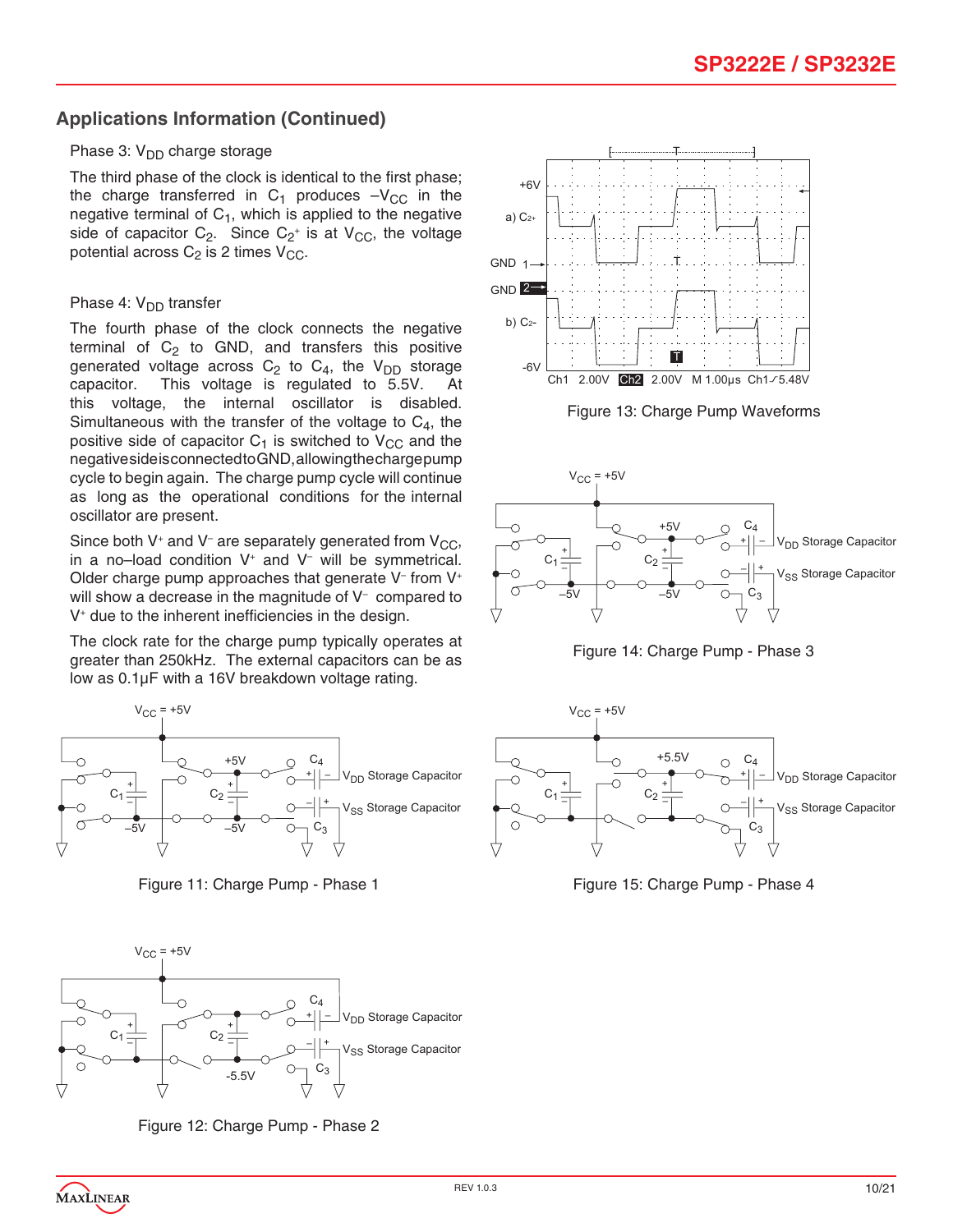# **Applications Information (Continued)**

#### Phase 3:  $V_{DD}$  charge storage

The third phase of the clock is identical to the first phase; the charge transferred in  $C_1$  produces  $-V_{CC}$  in the negative terminal of  $C_1$ , which is applied to the negative side of capacitor  $C_2$ . Since  $C_2$ <sup>+</sup> is at  $V_{CC}$ , the voltage potential across  $C_2$  is 2 times  $V_{CC}$ .

#### Phase 4:  $V_{DD}$  transfer

The fourth phase of the clock connects the negative terminal of  $C_2$  to GND, and transfers this positive generated voltage across  $C_2$  to  $C_4$ , the  $V_{DD}$  storage capacitor. This voltage is regulated to 5.5V. At This voltage is regulated to  $5.5V$ . this voltage, the internal oscillator is disabled. Simultaneous with the transfer of the voltage to  $C_4$ , the positive side of capacitor  $C_1$  is switched to  $V_{CC}$  and the negative side is connected to GND, allowing the charge pump cycle to begin again. The charge pump cycle will continue as long as the operational conditions for the internal oscillator are present.

Since both V<sup>+</sup> and V<sup>-</sup> are separately generated from V<sub>CC</sub>, in a no–load condition V+ and V– will be symmetrical. Older charge pump approaches that generate  $V^-$  from  $V^+$ will show a decrease in the magnitude of V– compared to V+ due to the inherent inefficiencies in the design.

The clock rate for the charge pump typically operates at greater than 250kHz. The external capacitors can be as low as 0.1µF with a 16V breakdown voltage rating.



Figure 11: Charge Pump - Phase 1



Figure 12: Charge Pump - Phase 2





Figure 14: Charge Pump - Phase 3



Figure 15: Charge Pump - Phase 4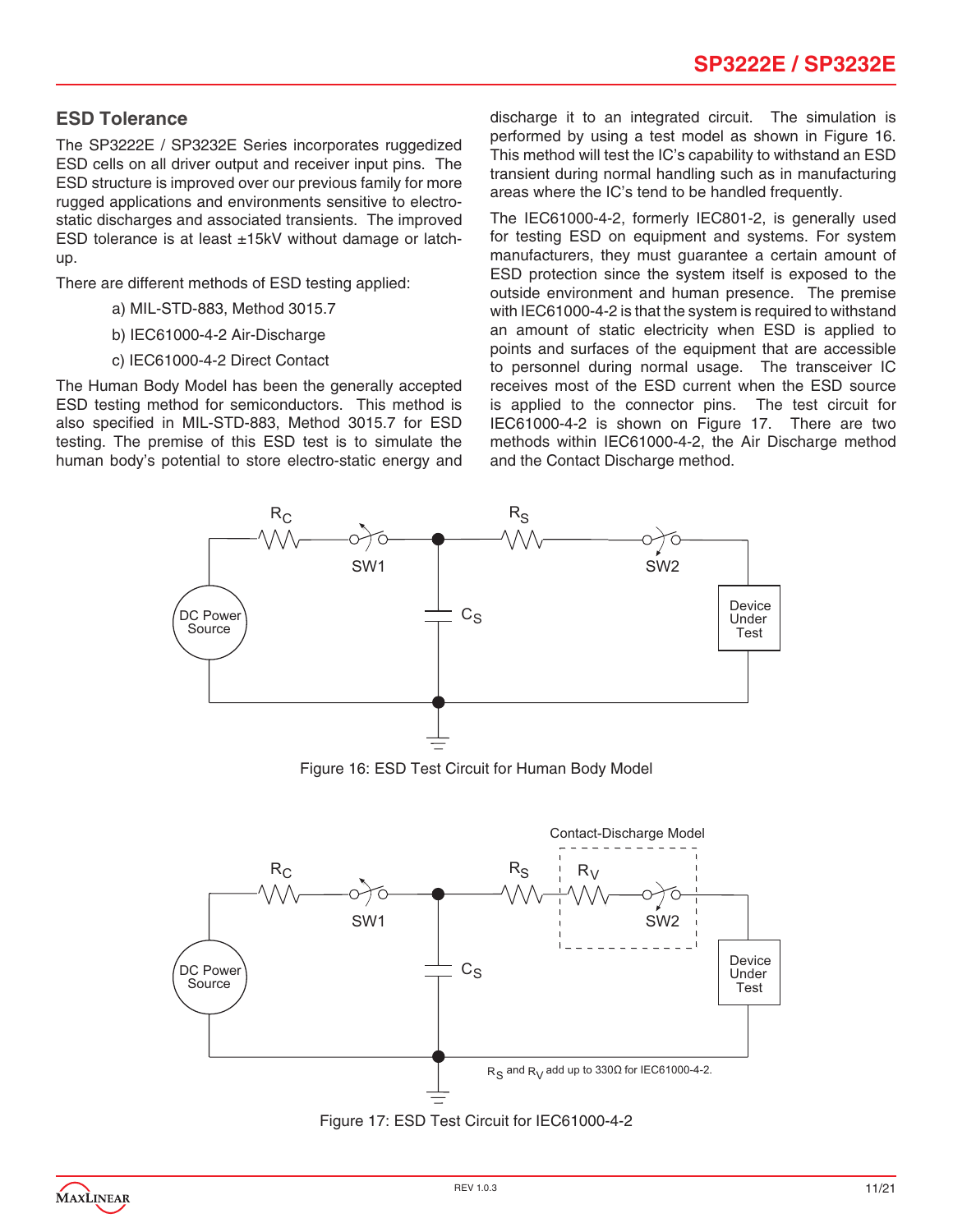# **ESD Tolerance**

The SP3222E / SP3232E Series incorporates ruggedized ESD cells on all driver output and receiver input pins. The ESD structure is improved over our previous family for more rugged applications and environments sensitive to electrostatic discharges and associated transients. The improved ESD tolerance is at least ±15kV without damage or latchup.

There are different methods of ESD testing applied:

- a) MIL-STD-883, Method 3015.7
- b) IEC61000-4-2 Air-Discharge
- c) IEC61000-4-2 Direct Contact

The Human Body Model has been the generally accepted ESD testing method for semiconductors. This method is also specified in MIL-STD-883, Method 3015.7 for ESD testing. The premise of this ESD test is to simulate the human body's potential to store electro-static energy and discharge it to an integrated circuit. The simulation is performed by using a test model as shown in Figure 16. This method will test the IC's capability to withstand an ESD transient during normal handling such as in manufacturing areas where the IC's tend to be handled frequently.

The IEC61000-4-2, formerly IEC801-2, is generally used for testing ESD on equipment and systems. For system manufacturers, they must guarantee a certain amount of ESD protection since the system itself is exposed to the outside environment and human presence. The premise with IEC61000-4-2 is that the system is required to withstand an amount of static electricity when ESD is applied to points and surfaces of the equipment that are accessible to personnel during normal usage. The transceiver IC receives most of the ESD current when the ESD source is applied to the connector pins. The test circuit for IEC61000-4-2 is shown on Figure 17. There are two methods within IEC61000-4-2, the Air Discharge method and the Contact Discharge method.



Figure 16: ESD Test Circuit for Human Body Model



Figure 17: ESD Test Circuit for IEC61000-4-2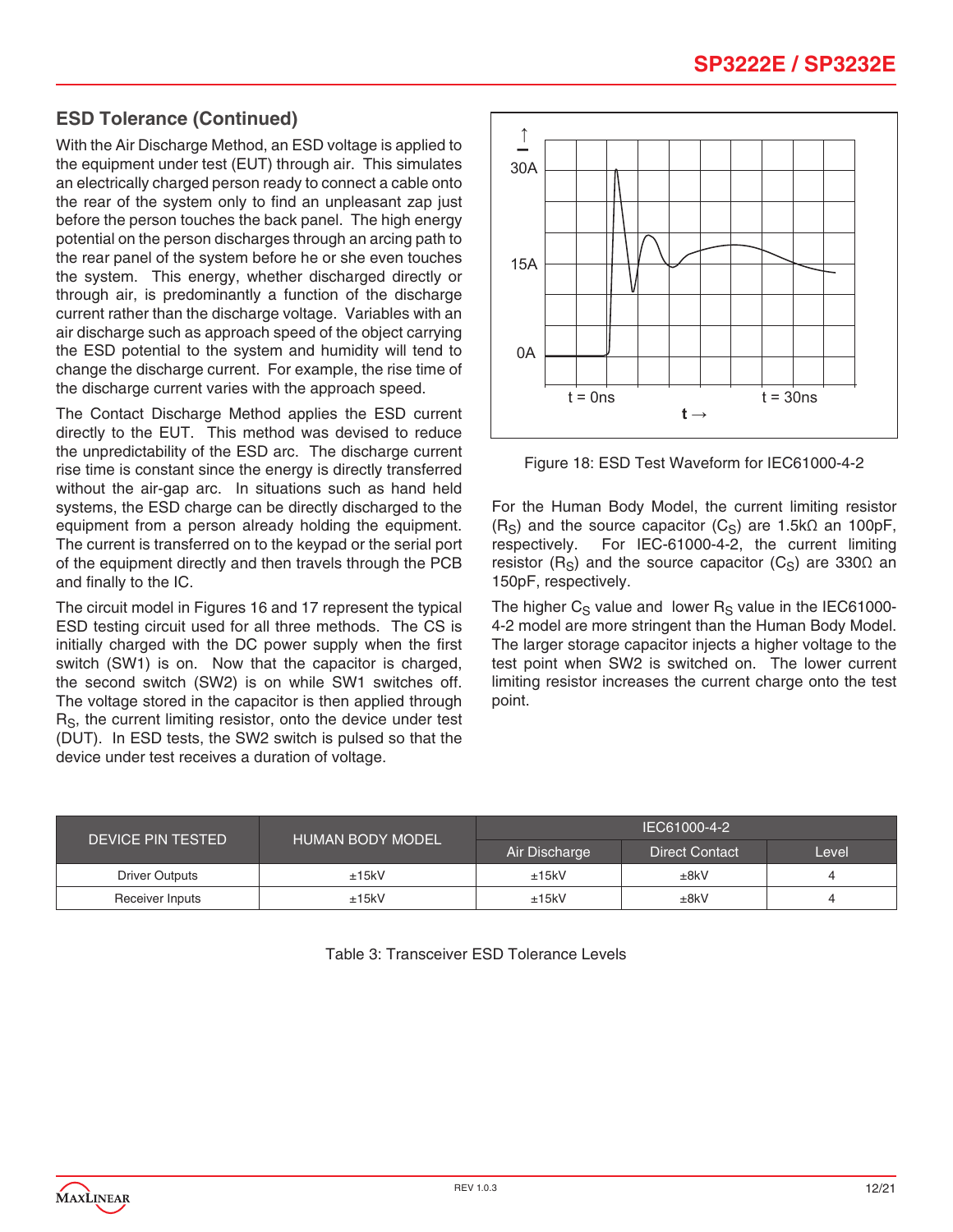# **ESD Tolerance (Continued)**

With the Air Discharge Method, an ESD voltage is applied to the equipment under test (EUT) through air. This simulates an electrically charged person ready to connect a cable onto the rear of the system only to find an unpleasant zap just before the person touches the back panel. The high energy potential on the person discharges through an arcing path to the rear panel of the system before he or she even touches the system. This energy, whether discharged directly or through air, is predominantly a function of the discharge current rather than the discharge voltage. Variables with an air discharge such as approach speed of the object carrying the ESD potential to the system and humidity will tend to change the discharge current. For example, the rise time of the discharge current varies with the approach speed.

The Contact Discharge Method applies the ESD current directly to the EUT. This method was devised to reduce the unpredictability of the ESD arc. The discharge current rise time is constant since the energy is directly transferred without the air-gap arc. In situations such as hand held systems, the ESD charge can be directly discharged to the equipment from a person already holding the equipment. The current is transferred on to the keypad or the serial port of the equipment directly and then travels through the PCB and finally to the IC.

The circuit model in Figures 16 and 17 represent the typical ESD testing circuit used for all three methods. The CS is initially charged with the DC power supply when the first switch (SW1) is on. Now that the capacitor is charged, the second switch (SW2) is on while SW1 switches off. The voltage stored in the capacitor is then applied through R<sub>S</sub>, the current limiting resistor, onto the device under test (DUT). In ESD tests, the SW2 switch is pulsed so that the device under test receives a duration of voltage.



Figure 18: ESD Test Waveform for IEC61000-4-2

For the Human Body Model, the current limiting resistor  $(R<sub>S</sub>)$  and the source capacitor  $(C<sub>S</sub>)$  are 1.5k $\Omega$  an 100pF, respectively. For IEC-61000-4-2, the current limiting resistor (R<sub>S</sub>) and the source capacitor (C<sub>S</sub>) are 330 $\Omega$  an 150pF, respectively.

The higher  $C_S$  value and lower  $R_S$  value in the IEC61000-4-2 model are more stringent than the Human Body Model. The larger storage capacitor injects a higher voltage to the test point when SW2 is switched on. The lower current limiting resistor increases the current charge onto the test point.

| DEVICE PIN TESTED     | <b>HUMAN BODY MODEL</b> | IEC61000-4-2  |                       |       |  |
|-----------------------|-------------------------|---------------|-----------------------|-------|--|
|                       |                         | Air Discharge | <b>Direct Contact</b> | Level |  |
| <b>Driver Outputs</b> | ±15kV                   | ±15kV         | ±8kV                  |       |  |
| Receiver Inputs       | ±15kV                   | ±15kV         | ±8kV                  |       |  |

Table 3: Transceiver ESD Tolerance Levels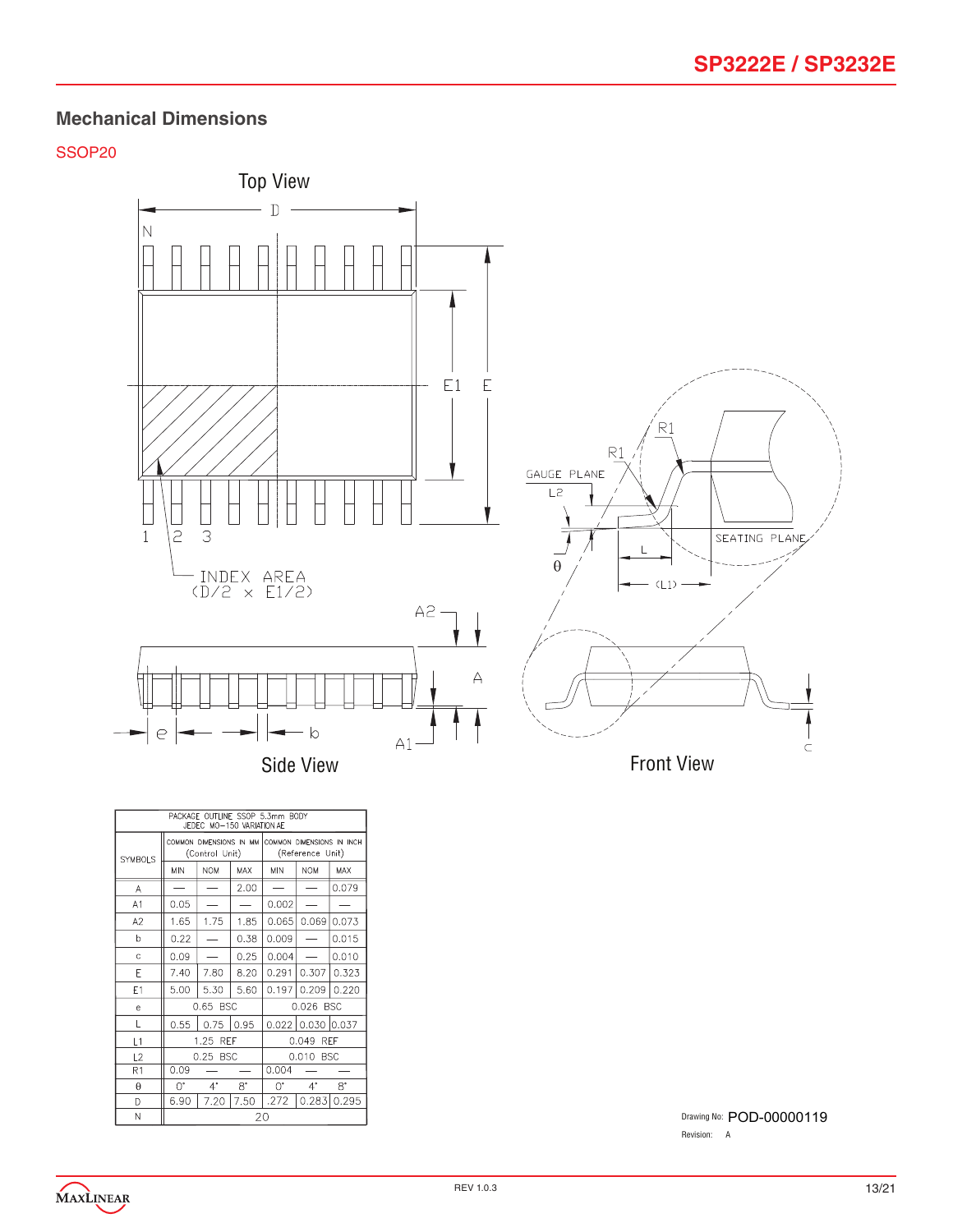### SSOP20



| PACKAGE OUTLINE SSOP 5.3mm BODY<br>JEDEC MO-150 VARIATION AE |            |                |           |                                                                        |                     |                 |
|--------------------------------------------------------------|------------|----------------|-----------|------------------------------------------------------------------------|---------------------|-----------------|
| <b>SYMBOLS</b>                                               |            | (Control Unit) |           | COMMON DIMENSIONS IN MM COMMON DIMENSIONS IN INCH.<br>(Reference Unit) |                     |                 |
|                                                              | <b>MIN</b> | <b>NOM</b>     | MAX       | <b>MIN</b>                                                             | <b>NOM</b>          | MAX             |
| Α                                                            |            |                | 2.00      |                                                                        |                     | 0.079           |
| A1                                                           | 0.05       |                |           | 0.002                                                                  |                     |                 |
| A <sub>2</sub>                                               | 1.65       | 1.75           | 1.85      | 0.065                                                                  | 0.069               | 0.073           |
| b                                                            | 0.22       |                | 0.38      | 0.009                                                                  |                     | 0.015           |
| Ċ                                                            | 0.09       |                | 0.25      | 0.004                                                                  |                     | 0.010           |
| E                                                            | 7.40       | 7.80           | 8.20      | 0.291                                                                  |                     | $0.307$   0.323 |
| E1                                                           | 5.00       | 5.30           | 5.60      |                                                                        | $0.197$ 0.209 0.220 |                 |
| e                                                            |            | 0.65 BSC       |           | 0.026 BSC                                                              |                     |                 |
| L                                                            | 0.55       | 0.75           | 0.95      |                                                                        | 0.022 0.030 0.037   |                 |
| L1                                                           |            | 1.25 REF       |           |                                                                        | 0.049 REF           |                 |
| L2                                                           |            | 0.25 BSC       |           | 0.010 BSC                                                              |                     |                 |
| R1                                                           | 0.09       |                |           | 0.004                                                                  |                     |                 |
| $\theta$                                                     | U.         | $4^{\circ}$    | $8^\circ$ | ∩.                                                                     | $4^{\circ}$         | S.              |
| D                                                            | 6.90       | 7.20           | 7.50      | .272                                                                   |                     | $0.283$ 0.295   |
| Ν                                                            | 20         |                |           |                                                                        |                     |                 |

Drawing No: POD-00000119 Revision: A

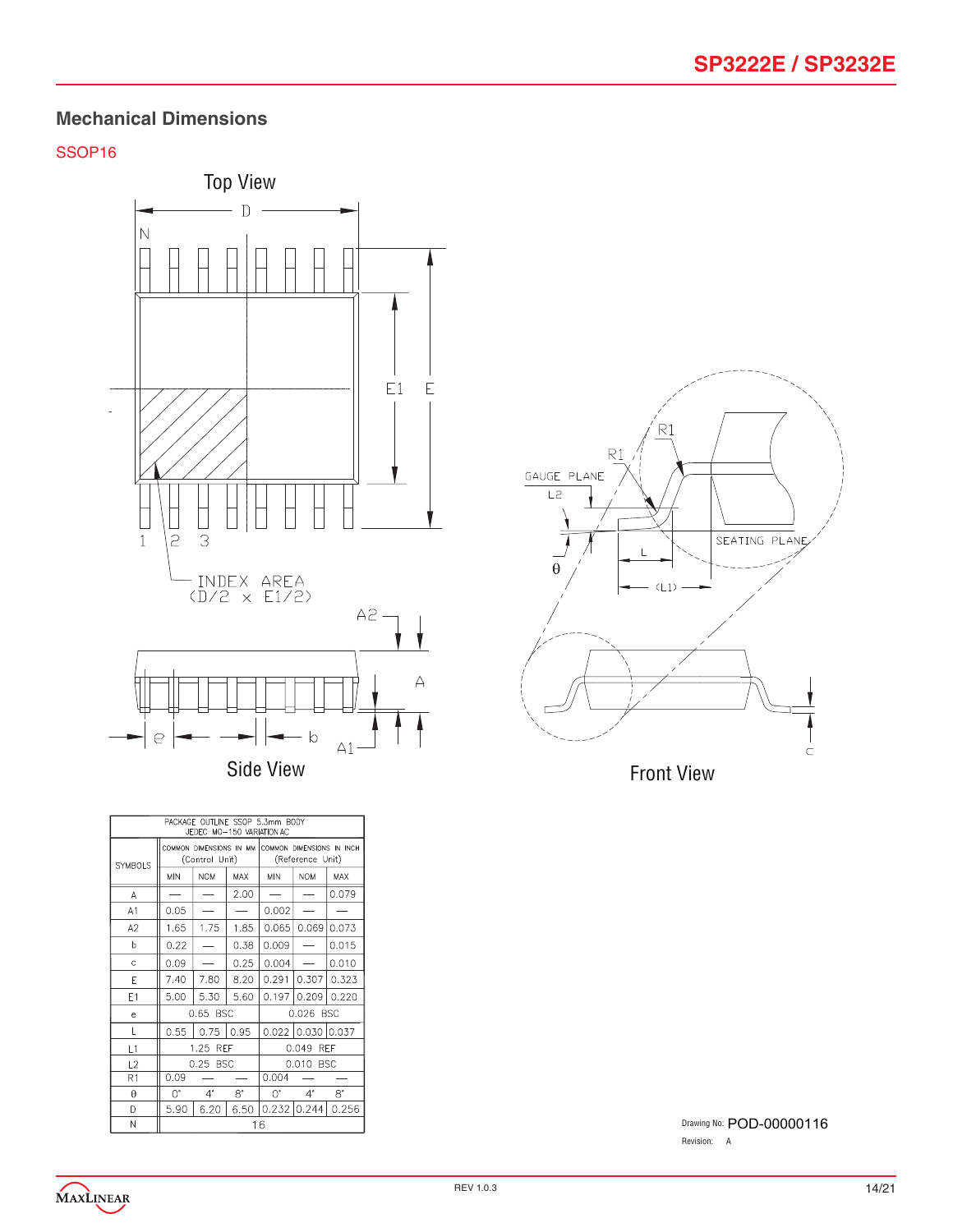### SSOP16







Drawing No: POD-00000116 Revision: A

MAXLINEAR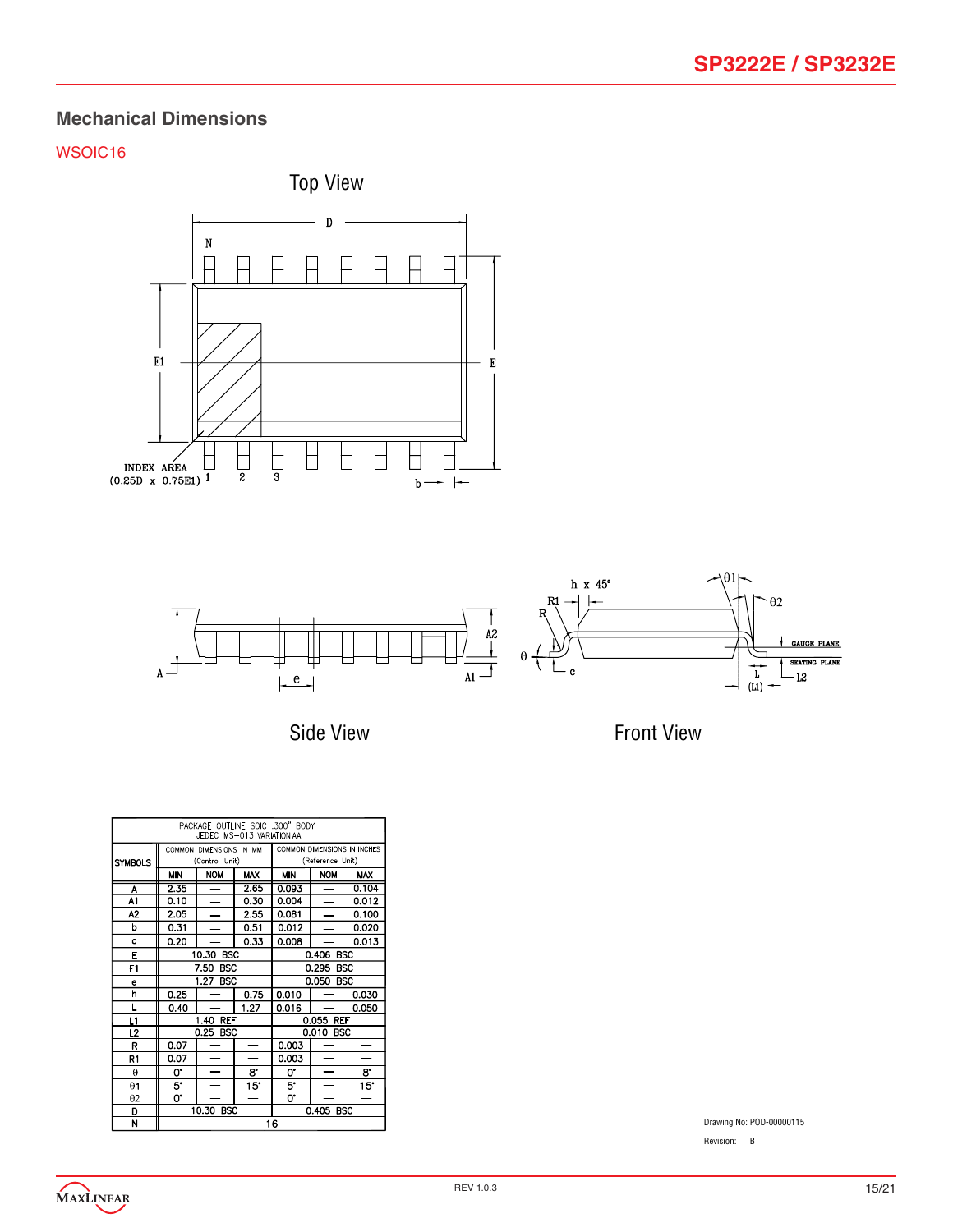# WSOIC16





Side View

Front View

| PACKAGE OUTLINE SOIC .300" BODY<br>JEDEC MS-013 VARIATION AA |                         |                          |                  |            |                             |            |
|--------------------------------------------------------------|-------------------------|--------------------------|------------------|------------|-----------------------------|------------|
|                                                              | COMMON DIMENSIONS IN MM |                          |                  |            | COMMON DIMENSIONS IN INCHES |            |
| <b>SYMBOLS</b>                                               | (Control Unit)          |                          | (Reference Unit) |            |                             |            |
|                                                              | <b>MIN</b>              | <b>NOM</b>               | <b>MAX</b>       | <b>MIN</b> | <b>NOM</b>                  | <b>MAX</b> |
| A                                                            | 2.35                    |                          | 2.65             | 0.093      |                             | 0.104      |
| A1                                                           | 0.10                    |                          | 0.30             | 0.004      |                             | 0.012      |
| A2                                                           | 2.05                    |                          | 2.55             | 0.081      |                             | 0.100      |
| b                                                            | 0.31                    |                          | 0.51             | 0.012      |                             | 0.020      |
| c                                                            | 0.20                    |                          | 0.33             | 0.008      |                             | 0.013      |
| E                                                            |                         | 10.30 BSC                |                  | 0.406 BSC  |                             |            |
| E1                                                           |                         | <b>BSC</b><br>7.50       |                  | 0.295 BSC  |                             |            |
| e                                                            |                         | 1.27 BSC                 |                  | 0.050 BSC  |                             |            |
| h                                                            | 0.25                    |                          | 0.75             | 0.010      |                             | 0.030      |
| Г                                                            | 0.40                    |                          | 1.27             | 0.016      |                             | 0.050      |
| L1                                                           |                         | 1.40 REF                 |                  | 0.055 REF  |                             |            |
| L2                                                           |                         | 0.25 BSC                 |                  |            | 0.010 BSC                   |            |
| R                                                            | 0.07                    |                          |                  | 0.003      |                             |            |
| R1                                                           | 0.07                    | $\overline{\phantom{0}}$ |                  | 0.003      | $\overline{\phantom{0}}$    |            |
| $\theta$                                                     | 0.                      | $\overline{\phantom{0}}$ | 8.               | 0.         |                             | 8.         |
| $\theta$ 1                                                   | 5.                      |                          | 15°              | 5.         |                             | 15°        |
| $\theta$ 2                                                   | 0.                      |                          |                  | 0.         |                             |            |
| D                                                            |                         | 10.30 BSC                |                  |            | 0.405 BSC                   |            |
| N                                                            | 16                      |                          |                  |            |                             |            |

Drawing No: POD-00000115

Revision: B

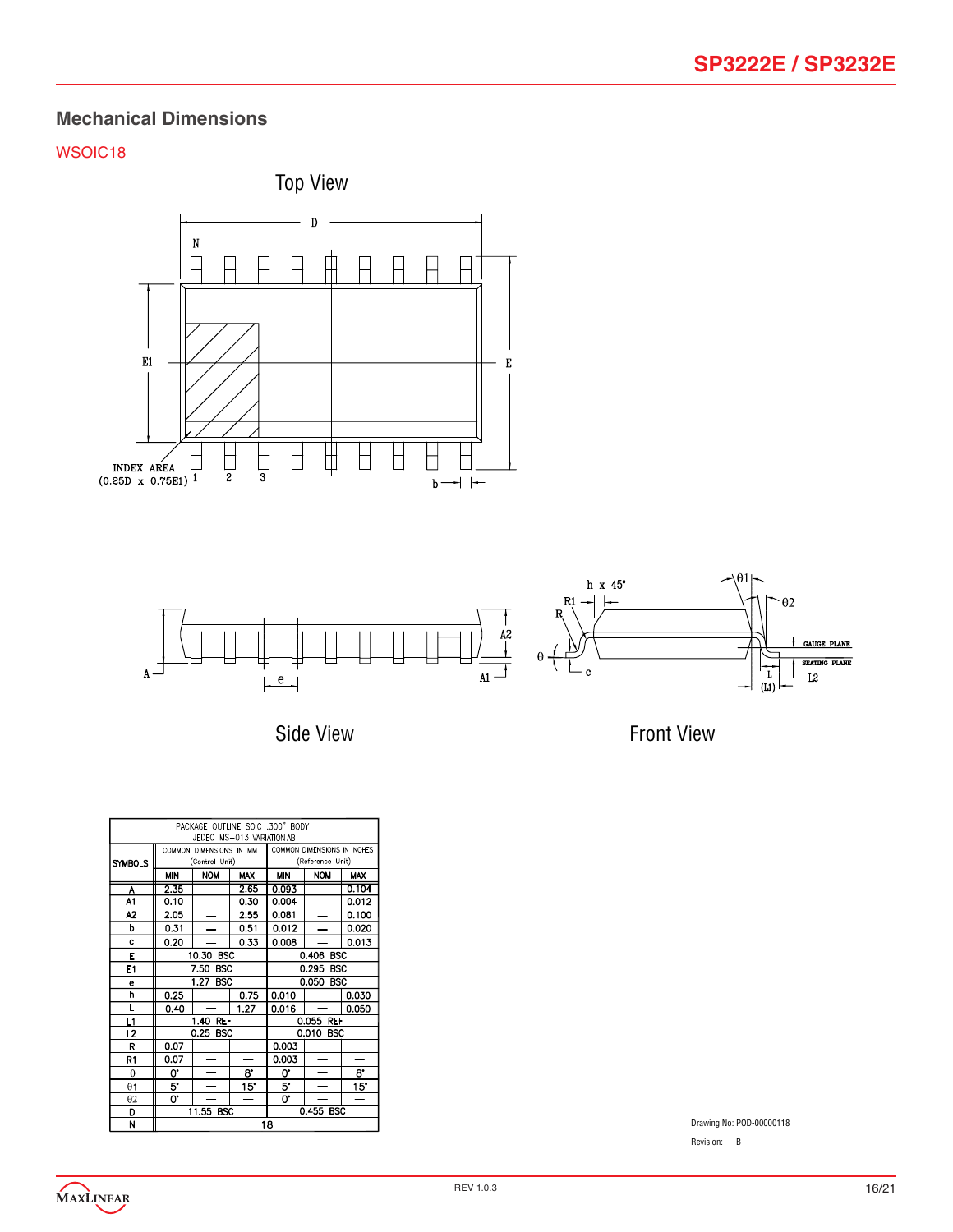# WSOIC18







| PACKAGE OUTLINE SOIC .300" BODY<br>JEDEC MS-013 VARIATION AB |            |                         |                          |            |                             |            |  |
|--------------------------------------------------------------|------------|-------------------------|--------------------------|------------|-----------------------------|------------|--|
|                                                              |            | COMMON DIMENSIONS IN MM |                          |            | COMMON DIMENSIONS IN INCHES |            |  |
| <b>SYMBOLS</b>                                               |            | (Control Unit)          |                          |            | (Reference Unit)            |            |  |
|                                                              | <b>MIN</b> | <b>NOM</b>              | <b>MAX</b>               | <b>MIN</b> | <b>NOM</b>                  | <b>MAX</b> |  |
| Α                                                            | 2.35       |                         | 2.65                     | 0.093      |                             | 0.104      |  |
| A1                                                           | 0.10       |                         | 0.30                     | 0.004      |                             | 0.012      |  |
| A <sub>2</sub>                                               | 2.05       |                         | 2.55                     | 0.081      |                             | 0.100      |  |
| b                                                            | 0.31       |                         | 0.51                     | 0.012      |                             | 0.020      |  |
| Ċ                                                            | 0.20       |                         | 0.33                     | 0.008      |                             | 0.013      |  |
| Ε                                                            |            | 10.30<br><b>BSC</b>     |                          | 0.406 BSC  |                             |            |  |
| E1                                                           |            | <b>BSC</b><br>7.50      |                          | 0.295 BSC  |                             |            |  |
| e                                                            |            | 1.27<br><b>BSC</b>      |                          | 0.050 BSC  |                             |            |  |
| h                                                            | 0.25       |                         | 0.75                     | 0.010      |                             | 0.030      |  |
| L                                                            | 0.40       |                         | 1.27                     | 0.016      |                             | 0.050      |  |
| L1                                                           |            | 1.40<br>ref             |                          | 0.055 REF  |                             |            |  |
| L2                                                           |            | 0.25 BSC                |                          |            | 0.010 BSC                   |            |  |
| R                                                            | 0.07       |                         |                          | 0.003      |                             |            |  |
| R1                                                           | 0.07       |                         |                          | 0.003      |                             |            |  |
| θ                                                            | 0.         |                         | 8.                       | o.         |                             | 8.         |  |
| $\theta$ 1                                                   | 5.         |                         | 15"                      | 5.         |                             | 15"        |  |
| $\theta$ 2                                                   | 0.         |                         | $\overline{\phantom{a}}$ | 0.         |                             |            |  |
| D                                                            |            | 11.55 BSC               |                          |            | 0.455 BSC                   |            |  |
| N                                                            | 1.2        |                         |                          |            |                             |            |  |

Front View

Drawing No: POD-00000118

Revision: B

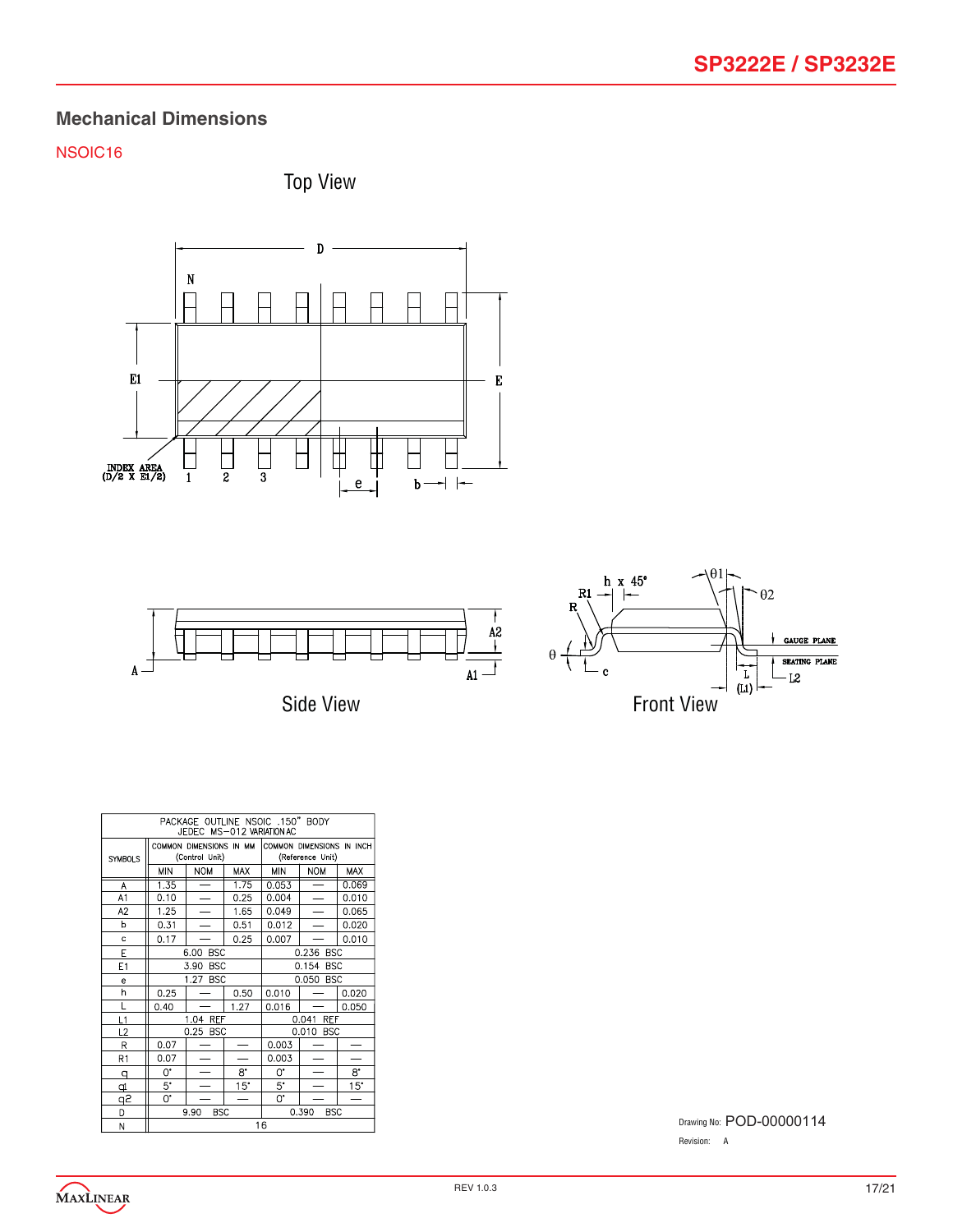# NSOIC16







Side View



| PACKAGE OUTLINE NSOIC .150" BODY<br>JEDEC MS-012 VARIATION AC |             |                                           |            |                     |                                               |            |
|---------------------------------------------------------------|-------------|-------------------------------------------|------------|---------------------|-----------------------------------------------|------------|
| <b>SYMBOLS</b>                                                |             | COMMON DIMENSIONS IN MM<br>(Control Unit) |            |                     | COMMON DIMENSIONS IN INCH<br>(Reference Unit) |            |
|                                                               | MIN         | <b>NOM</b>                                | <b>MAX</b> | MIN                 | <b>NOM</b>                                    | <b>MAX</b> |
| Α                                                             | 1.35        |                                           | 1.75       | 0.053               |                                               | 0.069      |
| A <sub>1</sub>                                                | 0.10        | $\equiv$                                  | 0.25       | 0.004               | $\overline{\phantom{0}}$                      | 0.010      |
| A <sub>2</sub>                                                | 1.25        |                                           | 1.65       | 0.049               |                                               | 0.065      |
| b                                                             | 0.31        |                                           | 0.51       | 0.012               |                                               | 0.020      |
| c                                                             | 0.17        |                                           | 0.25       | 0.007               |                                               | 0.010      |
| Е                                                             |             | <b>BSC</b><br>6.00                        |            | 0.236 BSC           |                                               |            |
| E <sub>1</sub>                                                |             | 3.90<br><b>BSC</b>                        |            | 0.154 BSC           |                                               |            |
| e                                                             |             | 1.27<br><b>BSC</b>                        |            | 0.050<br><b>BSC</b> |                                               |            |
| h                                                             | 0.25        |                                           | 0.50       | 0.010               |                                               | 0.020      |
| Г                                                             | 0.40        |                                           | 1.27       | 0.016               |                                               | 0.050      |
| L1                                                            |             | 1.04 REF                                  |            |                     | 0.041<br>REF                                  |            |
| L2                                                            |             | 0.25 BSC                                  |            |                     | 0.010 BSC                                     |            |
| R                                                             | 0.07        |                                           |            | 0.003               |                                               |            |
| R1                                                            | 0.07        | ÷.                                        |            | 0.003               |                                               |            |
| q                                                             | 0.          |                                           | 8.         | 0.                  |                                               | 8.         |
| ₫                                                             | $5^{\circ}$ |                                           | 15"        | $5^{\circ}$         |                                               | 15"        |
| آڇو                                                           | 0.          |                                           |            | 0.                  |                                               |            |
| D                                                             |             | <b>BSC</b><br>9.90                        |            |                     | 0.390<br><b>BSC</b>                           |            |
| N                                                             |             |                                           |            | 16                  |                                               |            |

Drawing No: POD-00000114 Revision: A

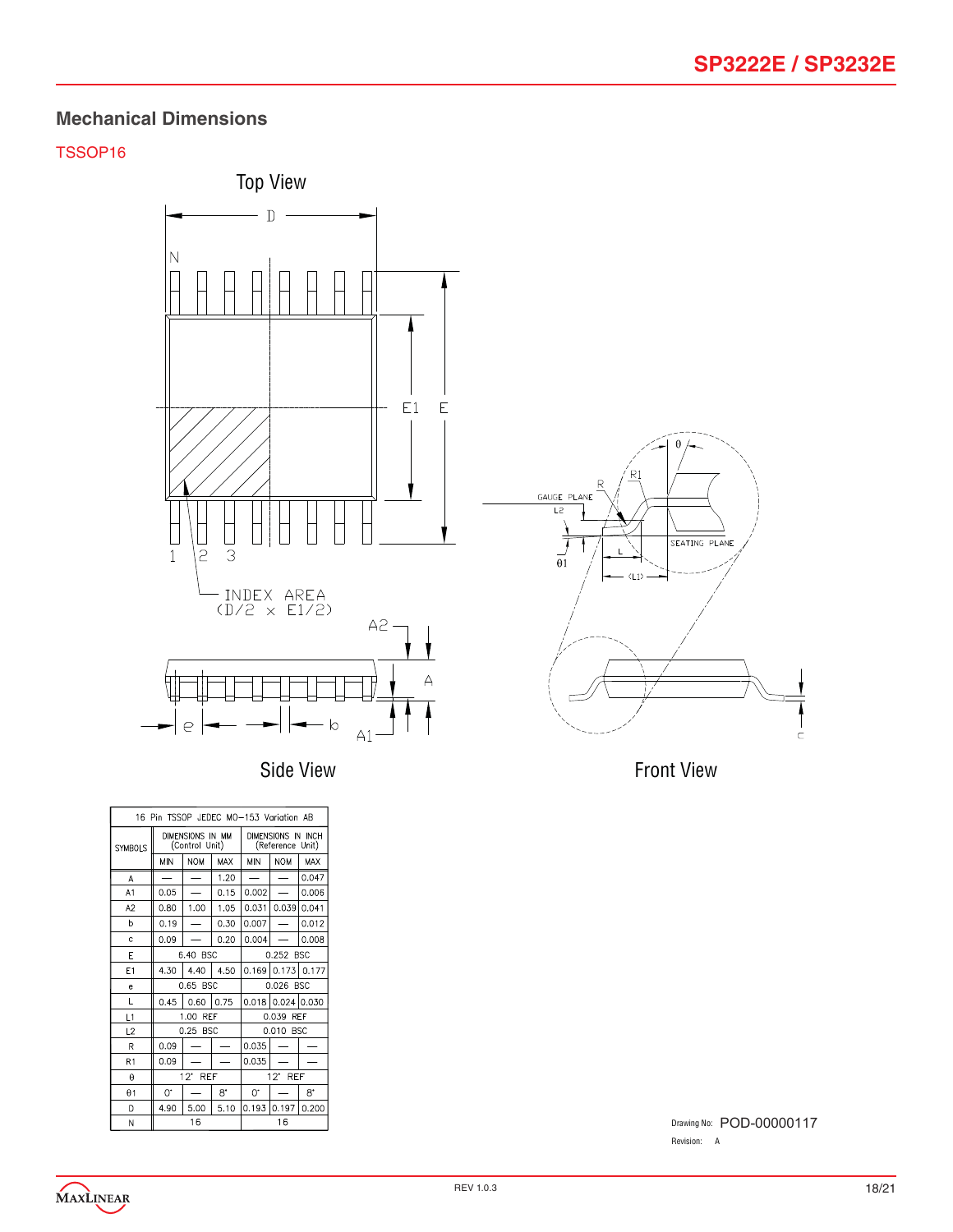### TSSOP16





| 16 Pin TSSOP JEDEC MO-153 Variation AB |                                    |            |             |                                        |                     |       |
|----------------------------------------|------------------------------------|------------|-------------|----------------------------------------|---------------------|-------|
| <b>SYMBOLS</b>                         | DIMENSIONS IN MM<br>(Control Unit) |            |             | DIMENSIONS IN INCH<br>(Reference Unit) |                     |       |
|                                        | <b>MIN</b>                         | <b>NOM</b> | MAX         | <b>MIN</b>                             | <b>NOM</b>          | MAX   |
| Α                                      | $\overline{\phantom{0}}$           | -          | 1.20        |                                        |                     | 0.047 |
| A <sub>1</sub>                         | 0.05                               |            | 0.15        | 0.002                                  |                     | 0.006 |
| A2                                     | 0.80                               | 1.00       | 1.05        | 0.031                                  | 0.039               | 0.041 |
| b                                      | 0.19                               |            | 0.30        | 0.007                                  |                     | 0.012 |
| Ċ                                      | 0.09                               |            | 0.20        | 0.004                                  |                     | 0.008 |
| E                                      | 6.40 BSC                           |            |             | 0.252 BSC                              |                     |       |
| E <sub>1</sub>                         | 4.30                               | 4.40       | 4.50        |                                        | $0.169$ 0.173 0.177 |       |
| e                                      | 0.65 BSC                           |            |             | 0.026 BSC                              |                     |       |
| L                                      | 0.45                               | 0.60       | 0.75        |                                        | 0.018 0.024 0.030   |       |
| L1                                     | 1.00<br><b>RFF</b>                 |            |             | 0.039 RFF                              |                     |       |
| L2                                     | 0.25 BSC                           |            |             | 0.010 BSC                              |                     |       |
| R                                      | 0.09                               |            |             | 0.035                                  |                     |       |
| R1                                     | 0.09                               |            |             | 0.035                                  |                     |       |
| $\theta$                               | 12' REF                            |            |             | $12^{\circ}$ REF                       |                     |       |
| $\theta$ 1                             | U.                                 |            | $8^{\circ}$ | O.                                     |                     | 8.    |
| D                                      | 4.90                               | 5.00       | 5.10        |                                        | 0.193 0.197         | 0.200 |
| N                                      | 16                                 |            |             | 16                                     |                     |       |

Front View

Drawing No: POD-00000117Revision: A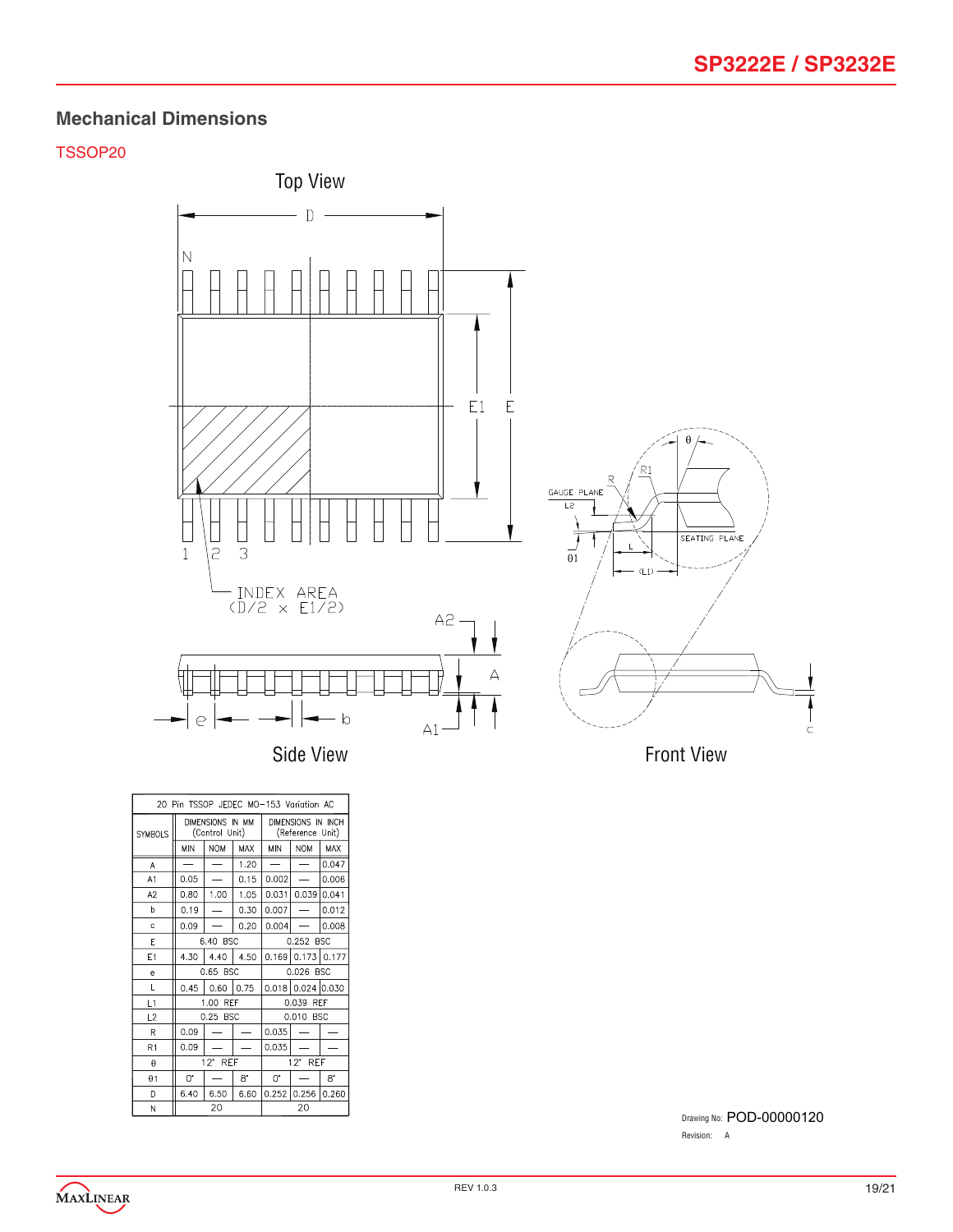### TSSOP20



20 Pin TSSOP JEDEC MO-153 Variation AC DIMENSIONS IN MM DIMENSIONS IN INCH SYMBOLS (Control Unit) (Reference Unit) MIN NOM MAX MIN NOM MAX  $1.20$  $0.047$  $\mathsf{A}$  $\equiv$  $A1$  $0.05$  $\overline{\phantom{a}}$  $0.15$  $0.002$  $\equiv$ 0.006  $0.80$  1.00  $\boxed{0.031}$  0.039 0.041  $A2$ 1.05  $\boxed{0.19}$  $0.30 \mid 0.007$  $- 0.012$  $\,$  b  $\overline{\phantom{0}}$  $0.09$  $\equiv$  $0.20 \mid 0.004$  $- 0.008$  $\mathbf{c}$  $6.40$  BSC  $0.252$  BSC  $\overline{\mathsf{E}}$  $E1$  $4.30$   $4.40$   $4.50$  0.169 0.173 0.177  $0.65$  BSC  $0.026$  BSC  $\overline{\rm e}$  $\mathsf{L}$  $L1$ 1.00 REF 0.039 REF  $0.25$  BSC  $0.010$  BSC  $L2$  $\mathsf{R}$  $0.09$  $\equiv$  $\overline{\phantom{0}}$  $|0.035| -$  - $R1$  $0.09$  $\equiv$  $|0.035| - | \overline{\phantom{a}}$  $12^{\circ}$  REF  $\boldsymbol{\theta}$  $12^*$  REF  $\theta$  1  $\mathbb{O}^\bullet$  $8^{\circ}$  $0. 0. 8.$  $\overline{\phantom{m}}$  $\overline{\mathsf{D}}$  $6.40$  $6.50 \ 6.60$  $0.252$   $0.256$   $0.260$  $\mathbf N$ 20 20

Drawing No: POD-00000120Revision: A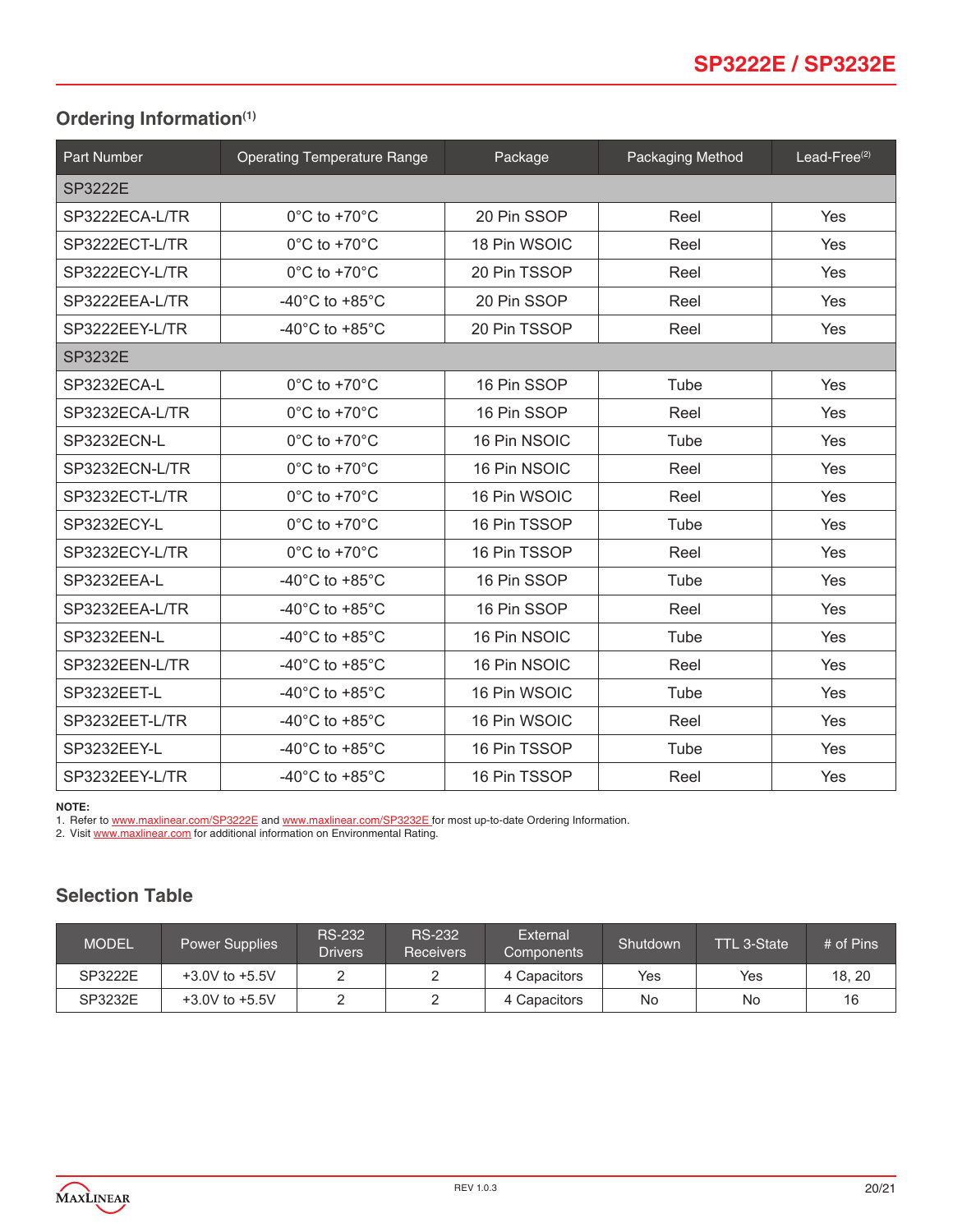# <span id="page-19-0"></span>**Ordering Information(1)**

| <b>Part Number</b> | <b>Operating Temperature Range</b>   | Package      | <b>Packaging Method</b> | Lead-Free $(2)$ |  |
|--------------------|--------------------------------------|--------------|-------------------------|-----------------|--|
| <b>SP3222E</b>     |                                      |              |                         |                 |  |
| SP3222ECA-L/TR     | $0^{\circ}$ C to +70 $^{\circ}$ C    | 20 Pin SSOP  | Reel                    | Yes             |  |
| SP3222ECT-L/TR     | $0^{\circ}$ C to +70 $^{\circ}$ C    | 18 Pin WSOIC | Reel                    | <b>Yes</b>      |  |
| SP3222ECY-L/TR     | $0^{\circ}$ C to +70 $^{\circ}$ C    | 20 Pin TSSOP | Reel                    | Yes             |  |
| SP3222EEA-L/TR     | -40 $^{\circ}$ C to +85 $^{\circ}$ C | 20 Pin SSOP  | Reel                    | <b>Yes</b>      |  |
| SP3222EEY-L/TR     | -40 $^{\circ}$ C to +85 $^{\circ}$ C | 20 Pin TSSOP | Reel                    | Yes             |  |
| <b>SP3232E</b>     |                                      |              |                         |                 |  |
| SP3232ECA-L        | $0^{\circ}$ C to +70 $^{\circ}$ C    | 16 Pin SSOP  | Tube                    | <b>Yes</b>      |  |
| SP3232ECA-L/TR     | $0^{\circ}$ C to +70 $^{\circ}$ C    | 16 Pin SSOP  | Reel                    | Yes             |  |
| SP3232ECN-L        | $0^{\circ}$ C to +70 $^{\circ}$ C    | 16 Pin NSOIC | Tube                    | Yes             |  |
| SP3232ECN-L/TR     | $0^{\circ}$ C to +70 $^{\circ}$ C    | 16 Pin NSOIC | Reel                    | Yes             |  |
| SP3232ECT-L/TR     | $0^{\circ}$ C to +70 $^{\circ}$ C    | 16 Pin WSOIC | Reel                    | <b>Yes</b>      |  |
| SP3232ECY-L        | $0^{\circ}$ C to +70 $^{\circ}$ C    | 16 Pin TSSOP | Tube                    | Yes             |  |
| SP3232ECY-L/TR     | $0^{\circ}$ C to +70 $^{\circ}$ C    | 16 Pin TSSOP | Reel                    | <b>Yes</b>      |  |
| SP3232EEA-L        | -40 $^{\circ}$ C to +85 $^{\circ}$ C | 16 Pin SSOP  | Tube                    | Yes             |  |
| SP3232EEA-L/TR     | -40 $^{\circ}$ C to +85 $^{\circ}$ C | 16 Pin SSOP  | Reel                    | <b>Yes</b>      |  |
| SP3232EEN-L        | -40 $^{\circ}$ C to +85 $^{\circ}$ C | 16 Pin NSOIC | Tube                    | <b>Yes</b>      |  |
| SP3232EEN-L/TR     | -40 $^{\circ}$ C to +85 $^{\circ}$ C | 16 Pin NSOIC | Reel                    | <b>Yes</b>      |  |
| SP3232EET-L        | -40 $^{\circ}$ C to +85 $^{\circ}$ C | 16 Pin WSOIC | Tube                    | <b>Yes</b>      |  |
| SP3232EET-L/TR     | -40 $^{\circ}$ C to +85 $^{\circ}$ C | 16 Pin WSOIC | Reel                    | Yes             |  |
| SP3232EEY-L        | -40 $^{\circ}$ C to +85 $^{\circ}$ C | 16 Pin TSSOP | Tube                    | <b>Yes</b>      |  |
| SP3232EEY-L/TR     | -40 $^{\circ}$ C to +85 $^{\circ}$ C | 16 Pin TSSOP | Reel                    | Yes             |  |

#### **NOTE:**

1. Refer to [www.maxlinear.com](http://www.maxlinear.com/SP3232E)/SP3222E and www.maxlinear.com/SP3232E for most up-to-date Ordering Information.

2. Visit [www.maxlinear.com](http://www.maxlinear.com) for additional information on Environmental Rating.

# **Selection Table**

| <b>MODEL</b> | <b>Power Supplies</b> | <b>RS-232</b><br><b>Drivers</b> | <b>RS-232</b><br><b>Receivers</b> | External<br>Components | Shutdown | <b>TTL 3-State</b> | # of Pins |
|--------------|-----------------------|---------------------------------|-----------------------------------|------------------------|----------|--------------------|-----------|
| SP3222E      | $+3.0V$ to $+5.5V$    |                                 |                                   | 4 Capacitors           | Yes      | Yes                | 18.20     |
| SP3232E      | $+3.0V$ to $+5.5V$    | -                               |                                   | 4 Capacitors           | No       | No                 |           |